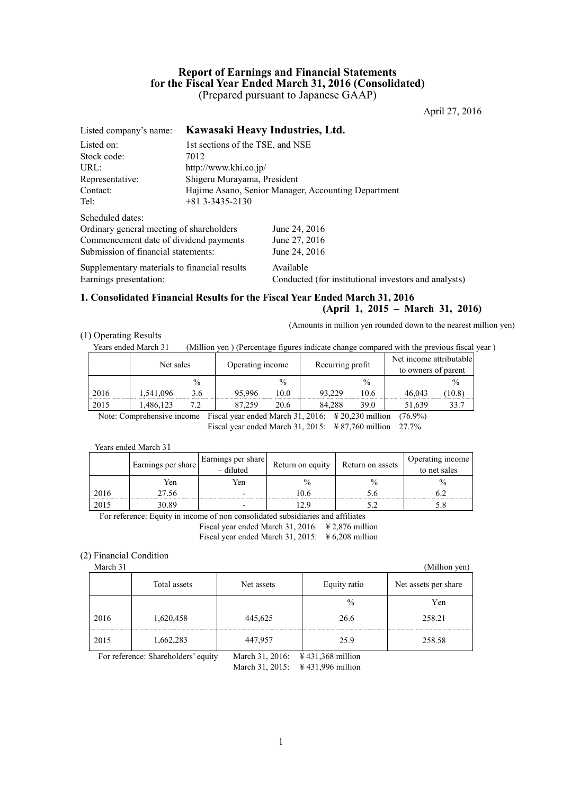# **Report of Earnings and Financial Statements for the Fiscal Year Ended March 31, 2016 (Consolidated)** (Prepared pursuant to Japanese GAAP)

April 27, 2016

| Kawasaki Heavy Industries, Ltd.                           |
|-----------------------------------------------------------|
| 1st sections of the TSE, and NSE                          |
|                                                           |
| http://www.khi.co.jp/                                     |
| Shigeru Murayama, President                               |
| Hajime Asano, Senior Manager, Accounting Department       |
| $+81$ 3-3435-2130                                         |
|                                                           |
| Ordinary general meeting of shareholders<br>June 24, 2016 |
| Commencement date of dividend payments<br>June 27, 2016   |
| June 24, 2016                                             |
| Supplementary materials to financial results<br>Available |
| Conducted (for institutional investors and analysts)      |
| 7012<br>Submission of financial statements:               |

# **1. Consolidated Financial Results for the Fiscal Year Ended March 31, 2016**

#### **(April 1, 2015 – March 31, 2016)**

(Amounts in million yen rounded down to the nearest million yen)

#### (1) Operating Results

Years ended March 31 (Million yen ) (Percentage figures indicate change compared with the previous fiscal year)

|                       | Net sales |               |        | Recurring profit<br>Operating income |                                                                |                    | Net income attributable<br>to owners of parent |               |
|-----------------------|-----------|---------------|--------|--------------------------------------|----------------------------------------------------------------|--------------------|------------------------------------------------|---------------|
|                       |           | $\frac{0}{0}$ |        | $\frac{0}{0}$                        |                                                                | $\frac{0}{0}$      |                                                | $\frac{0}{0}$ |
| 2016                  | .541.096  | 3.6           | 95.996 | 10.0                                 | 93.229                                                         | 10.6               | 46.043                                         | (10.8)        |
| 2015                  | .486.123  |               | .259   | 20.6                                 | 84.288                                                         | 39.0               | 51.639                                         | 33.7          |
| $\mathbf{r}$ $\alpha$ |           | ÷.            |        | 1.3.5                                | $\mathbf{r}$ $\mathbf{a}$ $\mathbf{a}$ $\mathbf{a}$<br>21.2011 | $\cdot$ 11 $\cdot$ | (1)                                            |               |

Note: Comprehensive income Fiscal year ended March 31, 2016: ¥ 20,230 million (76.9%) Fiscal year ended March 31, 2015: ¥ 87,760 million 27.7%

Years ended March 31

|      | Earnings per share | $\left  \int \frac{E\text{annings per share}}{-\text{diluted}} \right $ | Return on equity | Return on assets | Operating income<br>to net sales |
|------|--------------------|-------------------------------------------------------------------------|------------------|------------------|----------------------------------|
|      | Yen                | Yen                                                                     | $\frac{0}{0}$    |                  | $\frac{0}{0}$                    |
| 2016 | 27.56              | -                                                                       | 06               |                  |                                  |
| 201: | 30.89              |                                                                         |                  |                  |                                  |

For reference: Equity in income of non consolidated subsidiaries and affiliates

Fiscal year ended March 31, 2016: ¥ 2,876 million

Fiscal year ended March 31, 2015:  $\frac{1}{2}$  6,208 million

#### (2) Financial Condition

March 31 (Million yen) Total assets Net assets Net assets Equity ratio Net assets per share  $\%$  Yen 2016 1,620,458 445,625 26.6 258.21 2015 1,662,283 447,957 25.9 258.58

For reference: Shareholders' equity March 31, 2016: \Result 431,368 million

March 31, 2015: ¥ 431,996 million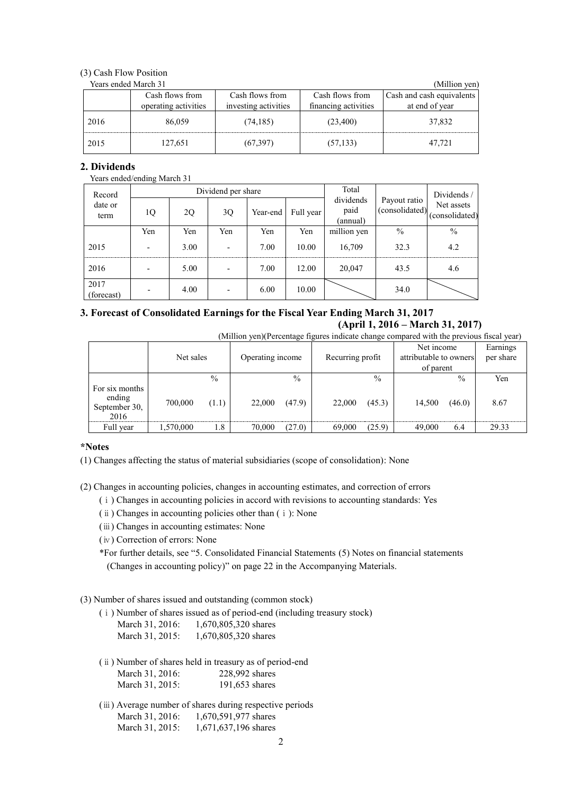# (3) Cash Flow Position

| Years ended March 31 |                      |                      |                      | (Million yen)             |
|----------------------|----------------------|----------------------|----------------------|---------------------------|
|                      | Cash flows from      | Cash flows from      | Cash flows from      | Cash and cash equivalents |
|                      | operating activities | investing activities | financing activities | at end of year            |
| 2016                 | 86,059               | (74, 185)            | (23,400)             | 37,832                    |
| 2015                 | 127,651              | (67, 397)            | (57, 133)            | 47.721                    |

# **2. Dividends**

#### Years ended/ending March 31

| Record             |                          |      | Dividend per share    |      | Total                         |                                | Dividends/                   |      |
|--------------------|--------------------------|------|-----------------------|------|-------------------------------|--------------------------------|------------------------------|------|
| date or<br>term    | 1Q<br>2Q<br>3Q           |      | Full year<br>Year-end |      | dividends<br>paid<br>(annual) | Payout ratio<br>(consolidated) | Net assets<br>(consolidated) |      |
|                    | Yen                      | Yen  | Yen                   | Yen  | Yen                           | million yen                    | $\frac{0}{0}$                | $\%$ |
| 2015               | $\overline{\phantom{0}}$ | 3.00 |                       | 7.00 | 10.00                         | 16,709                         | 32.3                         | 4.2  |
| 2016               |                          | 5.00 |                       | 7.00 | 12.00                         | 20,047                         | 43.5                         | 4.6  |
| 2017<br>(forecast) |                          | 4.00 |                       | 6.00 | 10.00                         |                                | 34.0                         |      |

# **3. Forecast of Consolidated Earnings for the Fiscal Year Ending March 31, 2017 (April 1, 2016 – March 31, 2017)**

(Million yen)(Percentage figures indicate change compared with the previous fiscal year)

|                                 | Net sales |               |        |               | Operating income | Recurring profit |        |               | Net income<br>attributable to owners<br>of parent |  | Earnings<br>per share |
|---------------------------------|-----------|---------------|--------|---------------|------------------|------------------|--------|---------------|---------------------------------------------------|--|-----------------------|
| For six months                  |           | $\frac{0}{0}$ |        | $\frac{0}{0}$ |                  | $\frac{0}{0}$    |        | $\frac{0}{0}$ | Yen                                               |  |                       |
| ending<br>September 30,<br>2016 | 700,000   | (1.1)         | 22,000 | (47.9)        | 22,000           | (45.3)           | 14,500 | (46.0)        | 8.67                                              |  |                       |
| Full year                       | 1,570,000 | 1.8           | 70,000 | (27.0)        | 69,000           | (25.9)           | 49,000 | 6.4           | 29.33                                             |  |                       |

#### **\*Notes**

(1) Changes affecting the status of material subsidiaries (scope of consolidation): None

(2) Changes in accounting policies, changes in accounting estimates, and correction of errors

- (ⅰ) Changes in accounting policies in accord with revisions to accounting standards: Yes
- (ⅱ) Changes in accounting policies other than (ⅰ): None
- (ⅲ) Changes in accounting estimates: None
- (ⅳ) Correction of errors: None

\*For further details, see "5. Consolidated Financial Statements (5) Notes on financial statements (Changes in accounting policy)" on page 22 in the Accompanying Materials.

# (3) Number of shares issued and outstanding (common stock)

(ⅰ) Number of shares issued as of period-end (including treasury stock)

| March 31, 2016: | 1,670,805,320 shares |
|-----------------|----------------------|
| March 31, 2015: | 1,670,805,320 shares |

- (ⅱ) Number of shares held in treasury as of period-end March 31, 2016: 228,992 shares March 31, 2015: 191,653 shares
- (ⅲ) Average number of shares during respective periods March 31, 2016: 1, 670, 591, 977 shares March 31, 2015: 1, 671, 637, 196 shares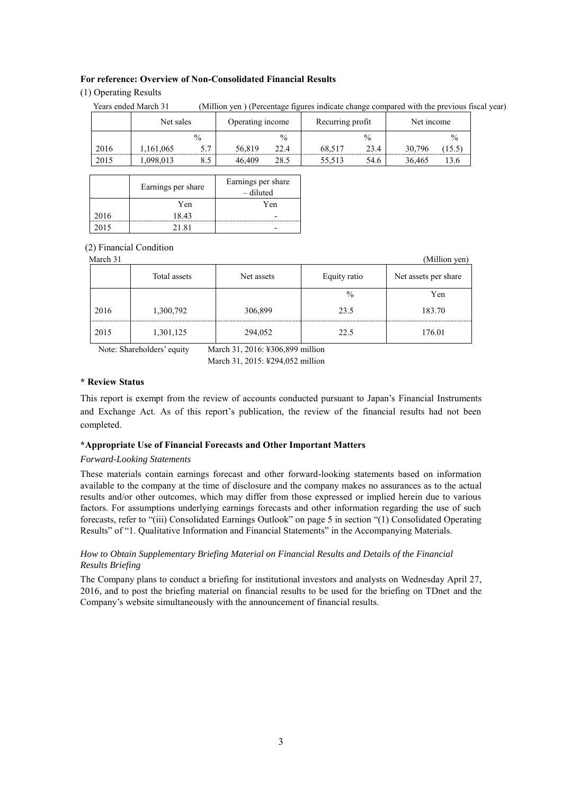#### **For reference: Overview of Non-Consolidated Financial Results**

#### (1) Operating Results

|      | Years ended March 31 |               |                  |               | (Million yen) (Percentage figures indicate change compared with the previous fiscal year) |      |            |               |  |
|------|----------------------|---------------|------------------|---------------|-------------------------------------------------------------------------------------------|------|------------|---------------|--|
|      | Net sales            |               | Operating income |               | Recurring profit                                                                          |      | Net income |               |  |
|      |                      | $\frac{0}{0}$ |                  | $\frac{0}{0}$ |                                                                                           | $\%$ |            | $\frac{0}{0}$ |  |
| 2016 | 1,161,065            | 5.7           | 56.819           | 22.4          | 68,517                                                                                    | 23.4 | 30,796     | 15.5)         |  |
| 2015 | .098,013             | 8.5           | 46.409           | 28.5          | 55.513                                                                                    | 54.6 | 36.465     | 13.6          |  |

|      | Earnings per share | Earnings per share<br>– diluted |
|------|--------------------|---------------------------------|
|      | Yen                | Yen                             |
| 2016 | 18 43              |                                 |
| 2015 | 21.81              |                                 |

#### (2) Financial Condition

March 31 (Million yen)

|      | Total assets<br>Net assets |         | Equity ratio | Net assets per share |
|------|----------------------------|---------|--------------|----------------------|
|      |                            |         | $\%$         | Yen                  |
| 2016 | 1,300,792                  | 306,899 | 23.5         | 183.70               |
| 2015 | 1,301,125                  | 294,052 | 22.5         | 176.01               |

Note: Shareholders' equity March 31, 2016: ¥306,899 million March 31, 2015: ¥294,052 million

#### **\* Review Status**

This report is exempt from the review of accounts conducted pursuant to Japan's Financial Instruments and Exchange Act. As of this report's publication, the review of the financial results had not been completed.

#### **\*Appropriate Use of Financial Forecasts and Other Important Matters**

#### *Forward-Looking Statements*

These materials contain earnings forecast and other forward-looking statements based on information available to the company at the time of disclosure and the company makes no assurances as to the actual results and/or other outcomes, which may differ from those expressed or implied herein due to various factors. For assumptions underlying earnings forecasts and other information regarding the use of such forecasts, refer to "(iii) Consolidated Earnings Outlook" on page 5 in section "(1) Consolidated Operating Results" of "1. Qualitative Information and Financial Statements" in the Accompanying Materials.

### *How to Obtain Supplementary Briefing Material on Financial Results and Details of the Financial Results Briefing*

The Company plans to conduct a briefing for institutional investors and analysts on Wednesday April 27, 2016, and to post the briefing material on financial results to be used for the briefing on TDnet and the Company's website simultaneously with the announcement of financial results.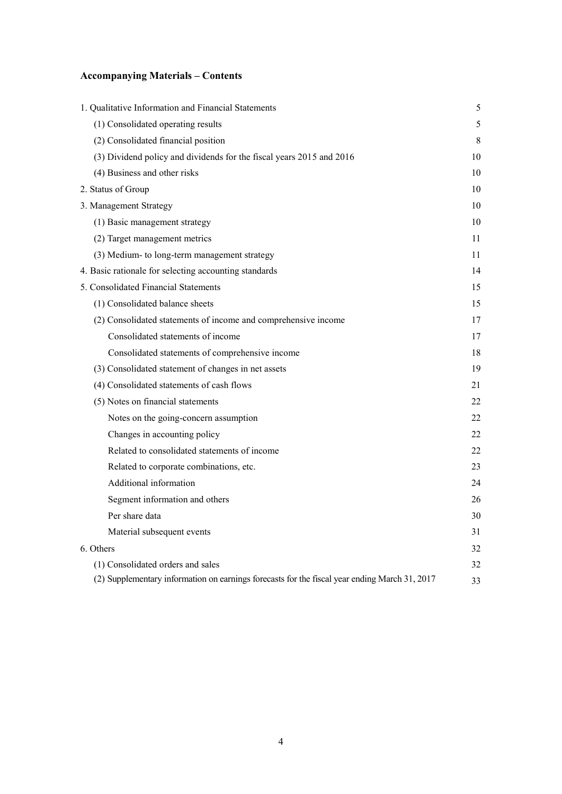# **Accompanying Materials – Contents**

| 1. Qualitative Information and Financial Statements                                           | 5           |
|-----------------------------------------------------------------------------------------------|-------------|
| (1) Consolidated operating results                                                            | 5           |
| (2) Consolidated financial position                                                           | $\,$ 8 $\,$ |
| (3) Dividend policy and dividends for the fiscal years 2015 and 2016                          | 10          |
| (4) Business and other risks                                                                  | 10          |
| 2. Status of Group                                                                            | 10          |
| 3. Management Strategy                                                                        | 10          |
| (1) Basic management strategy                                                                 | 10          |
| (2) Target management metrics                                                                 | 11          |
| (3) Medium- to long-term management strategy                                                  | 11          |
| 4. Basic rationale for selecting accounting standards                                         | 14          |
| 5. Consolidated Financial Statements                                                          | 15          |
| (1) Consolidated balance sheets                                                               | 15          |
| (2) Consolidated statements of income and comprehensive income                                | 17          |
| Consolidated statements of income                                                             | 17          |
| Consolidated statements of comprehensive income                                               | 18          |
| (3) Consolidated statement of changes in net assets                                           | 19          |
| (4) Consolidated statements of cash flows                                                     | 21          |
| (5) Notes on financial statements                                                             | 22          |
| Notes on the going-concern assumption                                                         | 22          |
| Changes in accounting policy                                                                  | 22          |
| Related to consolidated statements of income                                                  | 22          |
| Related to corporate combinations, etc.                                                       | 23          |
| Additional information                                                                        | 24          |
| Segment information and others                                                                | 26          |
| Per share data                                                                                | 30          |
| Material subsequent events                                                                    | 31          |
| 6. Others                                                                                     | 32          |
| (1) Consolidated orders and sales                                                             | 32          |
| (2) Supplementary information on earnings forecasts for the fiscal year ending March 31, 2017 | 33          |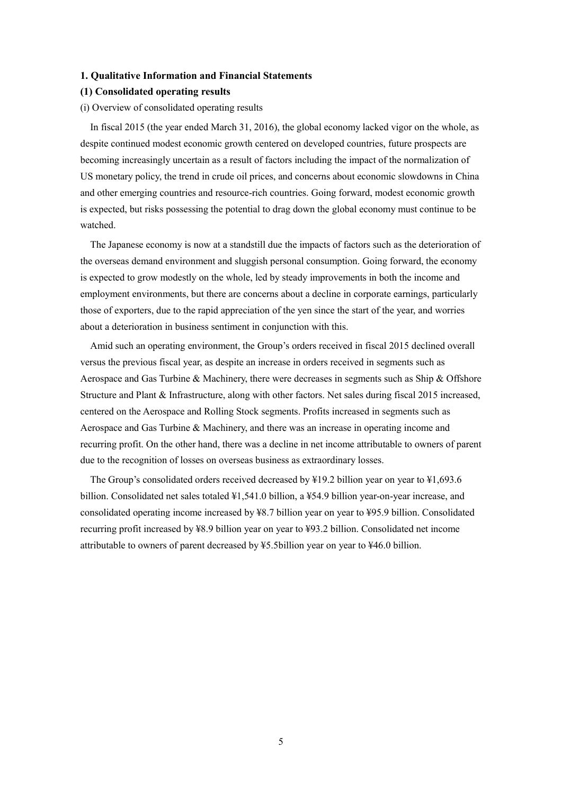#### **1. Qualitative Information and Financial Statements**

#### **(1) Consolidated operating results**

#### (i) Overview of consolidated operating results

In fiscal 2015 (the year ended March 31, 2016), the global economy lacked vigor on the whole, as despite continued modest economic growth centered on developed countries, future prospects are becoming increasingly uncertain as a result of factors including the impact of the normalization of US monetary policy, the trend in crude oil prices, and concerns about economic slowdowns in China and other emerging countries and resource-rich countries. Going forward, modest economic growth is expected, but risks possessing the potential to drag down the global economy must continue to be watched.

The Japanese economy is now at a standstill due the impacts of factors such as the deterioration of the overseas demand environment and sluggish personal consumption. Going forward, the economy is expected to grow modestly on the whole, led by steady improvements in both the income and employment environments, but there are concerns about a decline in corporate earnings, particularly those of exporters, due to the rapid appreciation of the yen since the start of the year, and worries about a deterioration in business sentiment in conjunction with this.

Amid such an operating environment, the Group's orders received in fiscal 2015 declined overall versus the previous fiscal year, as despite an increase in orders received in segments such as Aerospace and Gas Turbine & Machinery, there were decreases in segments such as Ship & Offshore Structure and Plant & Infrastructure, along with other factors. Net sales during fiscal 2015 increased, centered on the Aerospace and Rolling Stock segments. Profits increased in segments such as Aerospace and Gas Turbine & Machinery, and there was an increase in operating income and recurring profit. On the other hand, there was a decline in net income attributable to owners of parent due to the recognition of losses on overseas business as extraordinary losses.

 The Group's consolidated orders received decreased by ¥19.2 billion year on year to ¥1,693.6 billion. Consolidated net sales totaled ¥1,541.0 billion, a ¥54.9 billion year-on-year increase, and consolidated operating income increased by ¥8.7 billion year on year to ¥95.9 billion. Consolidated recurring profit increased by ¥8.9 billion year on year to ¥93.2 billion. Consolidated net income attributable to owners of parent decreased by ¥5.5billion year on year to ¥46.0 billion.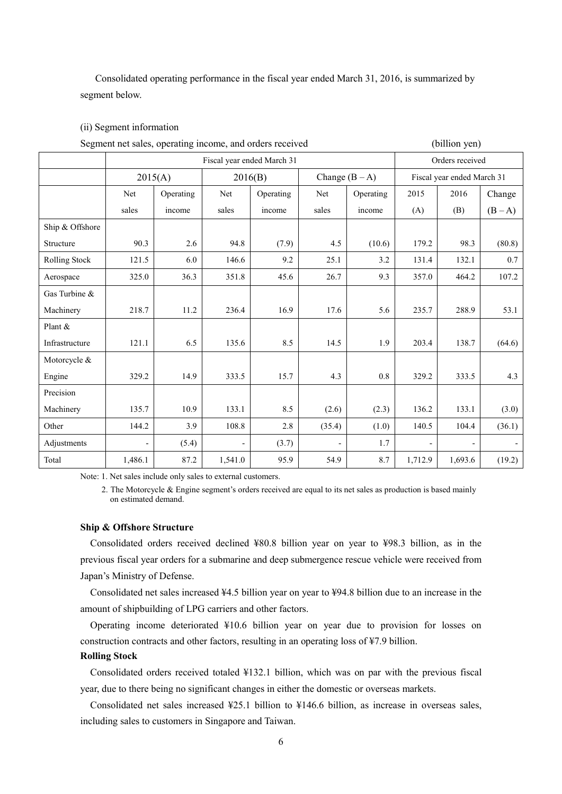Consolidated operating performance in the fiscal year ended March 31, 2016, is summarized by segment below.

# (ii) Segment information

| Segment net sales, operating income, and orders received |                          |                            |                          |           |                          |                  |         | (billion yen)              |         |
|----------------------------------------------------------|--------------------------|----------------------------|--------------------------|-----------|--------------------------|------------------|---------|----------------------------|---------|
|                                                          |                          | Fiscal year ended March 31 | Orders received          |           |                          |                  |         |                            |         |
|                                                          |                          | 2015(A)                    |                          | 2016(B)   |                          | Change $(B - A)$ |         | Fiscal year ended March 31 |         |
|                                                          | Net                      | Operating                  | Net                      | Operating | Net                      | Operating        | 2015    | 2016                       | Change  |
|                                                          | sales                    | income                     | sales                    | income    | sales                    | income           | (A)     | (B)                        | $(B-A)$ |
| Ship & Offshore                                          |                          |                            |                          |           |                          |                  |         |                            |         |
| Structure                                                | 90.3                     | 2.6                        | 94.8                     | (7.9)     | 4.5                      | (10.6)           | 179.2   | 98.3                       | (80.8)  |
| Rolling Stock                                            | 121.5                    | 6.0                        | 146.6                    | 9.2       | 25.1                     | 3.2              | 131.4   | 132.1                      | 0.7     |
| Aerospace                                                | 325.0                    | 36.3                       | 351.8                    | 45.6      | 26.7                     | 9.3              | 357.0   | 464.2                      | 107.2   |
| Gas Turbine &                                            |                          |                            |                          |           |                          |                  |         |                            |         |
| Machinery                                                | 218.7                    | 11.2                       | 236.4                    | 16.9      | 17.6                     | 5.6              | 235.7   | 288.9                      | 53.1    |
| Plant &                                                  |                          |                            |                          |           |                          |                  |         |                            |         |
| Infrastructure                                           | 121.1                    | 6.5                        | 135.6                    | 8.5       | 14.5                     | 1.9              | 203.4   | 138.7                      | (64.6)  |
| Motorcycle &                                             |                          |                            |                          |           |                          |                  |         |                            |         |
| Engine                                                   | 329.2                    | 14.9                       | 333.5                    | 15.7      | 4.3                      | 0.8              | 329.2   | 333.5                      | 4.3     |
| Precision                                                |                          |                            |                          |           |                          |                  |         |                            |         |
| Machinery                                                | 135.7                    | 10.9                       | 133.1                    | 8.5       | (2.6)                    | (2.3)            | 136.2   | 133.1                      | (3.0)   |
| Other                                                    | 144.2                    | 3.9                        | 108.8                    | 2.8       | (35.4)                   | (1.0)            | 140.5   | 104.4                      | (36.1)  |
| Adjustments                                              | $\overline{\phantom{0}}$ | (5.4)                      | $\overline{\phantom{0}}$ | (3.7)     | $\overline{\phantom{a}}$ | 1.7              |         |                            |         |
| Total                                                    | 1,486.1                  | 87.2                       | 1,541.0                  | 95.9      | 54.9                     | 8.7              | 1,712.9 | 1,693.6                    | (19.2)  |

Note: 1. Net sales include only sales to external customers.

2. The Motorcycle & Engine segment's orders received are equal to its net sales as production is based mainly on estimated demand.

# **Ship & Offshore Structure**

Consolidated orders received declined ¥80.8 billion year on year to ¥98.3 billion, as in the previous fiscal year orders for a submarine and deep submergence rescue vehicle were received from Japan's Ministry of Defense.

Consolidated net sales increased ¥4.5 billion year on year to ¥94.8 billion due to an increase in the amount of shipbuilding of LPG carriers and other factors.

Operating income deteriorated ¥10.6 billion year on year due to provision for losses on construction contracts and other factors, resulting in an operating loss of ¥7.9 billion.

#### **Rolling Stock**

Consolidated orders received totaled ¥132.1 billion, which was on par with the previous fiscal year, due to there being no significant changes in either the domestic or overseas markets.

Consolidated net sales increased ¥25.1 billion to ¥146.6 billion, as increase in overseas sales, including sales to customers in Singapore and Taiwan.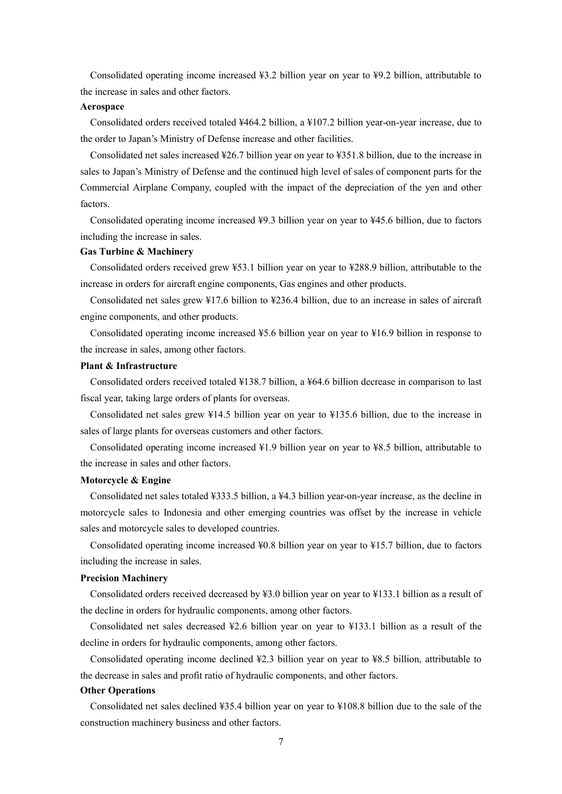Consolidated operating income increased ¥3.2 billion year on year to ¥9.2 billion, attributable to the increase in sales and other factors.

#### **Aerospace**

Consolidated orders received totaled ¥464.2 billion, a ¥107.2 billion year-on-year increase, due to the order to Japan's Ministry of Defense increase and other facilities.

Consolidated net sales increased ¥26.7 billion year on year to ¥351.8 billion, due to the increase in sales to Japan's Ministry of Defense and the continued high level of sales of component parts for the Commercial Airplane Company, coupled with the impact of the depreciation of the yen and other factors.

Consolidated operating income increased ¥9.3 billion year on year to ¥45.6 billion, due to factors including the increase in sales.

### **Gas Turbine & Machinery**

Consolidated orders received grew ¥53.1 billion year on year to ¥288.9 billion, attributable to the increase in orders for aircraft engine components, Gas engines and other products.

Consolidated net sales grew ¥17.6 billion to ¥236.4 billion, due to an increase in sales of aircraft engine components, and other products.

Consolidated operating income increased ¥5.6 billion year on year to ¥16.9 billion in response to the increase in sales, among other factors.

# **Plant & Infrastructure**

Consolidated orders received totaled ¥138.7 billion, a ¥64.6 billion decrease in comparison to last fiscal year, taking large orders of plants for overseas.

Consolidated net sales grew ¥14.5 billion year on year to ¥135.6 billion, due to the increase in sales of large plants for overseas customers and other factors.

Consolidated operating income increased ¥1.9 billion year on year to ¥8.5 billion, attributable to the increase in sales and other factors.

# **Motorcycle & Engine**

Consolidated net sales totaled ¥333.5 billion, a ¥4.3 billion year-on-year increase, as the decline in motorcycle sales to Indonesia and other emerging countries was offset by the increase in vehicle sales and motorcycle sales to developed countries.

Consolidated operating income increased ¥0.8 billion year on year to ¥15.7 billion, due to factors including the increase in sales.

#### **Precision Machinery**

Consolidated orders received decreased by ¥3.0 billion year on year to ¥133.1 billion as a result of the decline in orders for hydraulic components, among other factors.

Consolidated net sales decreased  $\frac{1}{2}$ .6 billion year on year to  $\frac{1}{2}$ 13.1 billion as a result of the decline in orders for hydraulic components, among other factors.

Consolidated operating income declined ¥2.3 billion year on year to ¥8.5 billion, attributable to the decrease in sales and profit ratio of hydraulic components, and other factors.

#### **Other Operations**

Consolidated net sales declined ¥35.4 billion year on year to ¥108.8 billion due to the sale of the construction machinery business and other factors.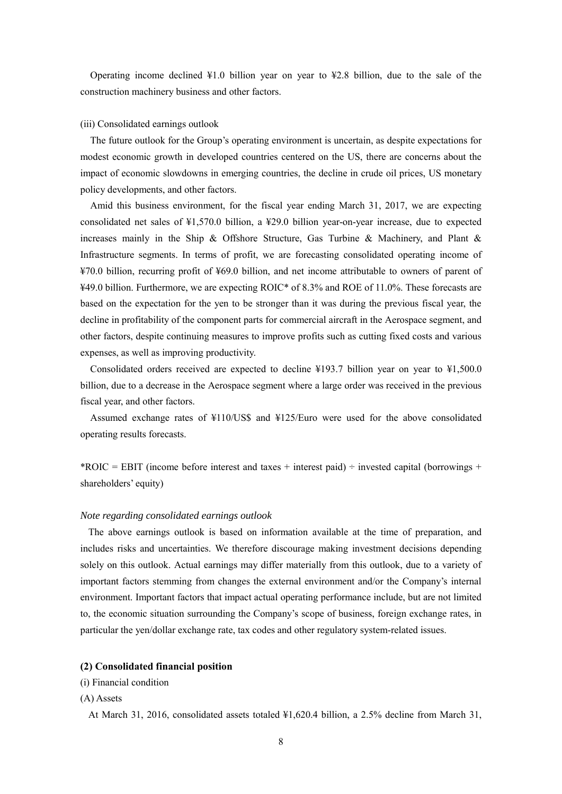Operating income declined ¥1.0 billion year on year to ¥2.8 billion, due to the sale of the construction machinery business and other factors.

#### (iii) Consolidated earnings outlook

The future outlook for the Group's operating environment is uncertain, as despite expectations for modest economic growth in developed countries centered on the US, there are concerns about the impact of economic slowdowns in emerging countries, the decline in crude oil prices, US monetary policy developments, and other factors.

Amid this business environment, for the fiscal year ending March 31, 2017, we are expecting consolidated net sales of ¥1,570.0 billion, a ¥29.0 billion year-on-year increase, due to expected increases mainly in the Ship & Offshore Structure, Gas Turbine & Machinery, and Plant & Infrastructure segments. In terms of profit, we are forecasting consolidated operating income of ¥70.0 billion, recurring profit of ¥69.0 billion, and net income attributable to owners of parent of ¥49.0 billion. Furthermore, we are expecting ROIC\* of 8.3% and ROE of 11.0%. These forecasts are based on the expectation for the yen to be stronger than it was during the previous fiscal year, the decline in profitability of the component parts for commercial aircraft in the Aerospace segment, and other factors, despite continuing measures to improve profits such as cutting fixed costs and various expenses, as well as improving productivity.

Consolidated orders received are expected to decline ¥193.7 billion year on year to ¥1,500.0 billion, due to a decrease in the Aerospace segment where a large order was received in the previous fiscal year, and other factors.

Assumed exchange rates of ¥110/US\$ and ¥125/Euro were used for the above consolidated operating results forecasts.

\*ROIC = EBIT (income before interest and taxes + interest paid)  $\div$  invested capital (borrowings + shareholders' equity)

#### *Note regarding consolidated earnings outlook*

The above earnings outlook is based on information available at the time of preparation, and includes risks and uncertainties. We therefore discourage making investment decisions depending solely on this outlook. Actual earnings may differ materially from this outlook, due to a variety of important factors stemming from changes the external environment and/or the Company's internal environment. Important factors that impact actual operating performance include, but are not limited to, the economic situation surrounding the Company's scope of business, foreign exchange rates, in particular the yen/dollar exchange rate, tax codes and other regulatory system-related issues.

## **(2) Consolidated financial position**

#### (i) Financial condition

## (A) Assets

At March 31, 2016, consolidated assets totaled ¥1,620.4 billion, a 2.5% decline from March 31,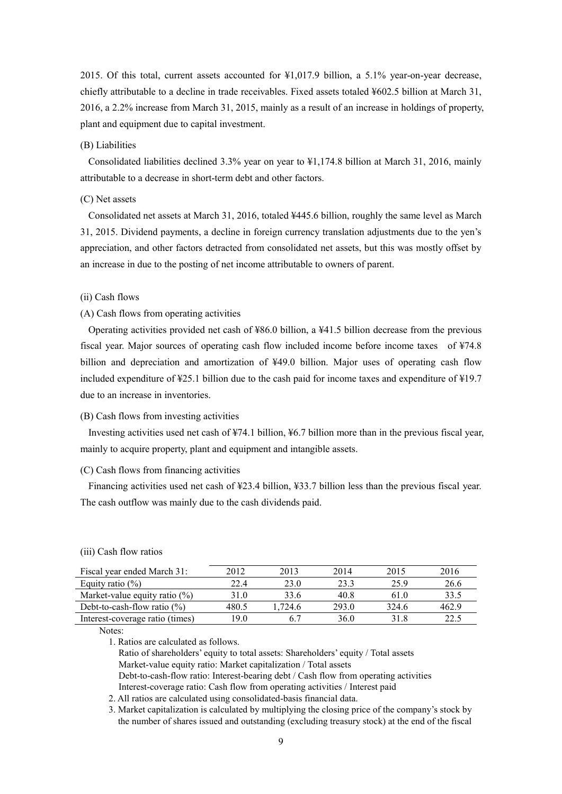2015. Of this total, current assets accounted for ¥1,017.9 billion, a 5.1% year-on-year decrease, chiefly attributable to a decline in trade receivables. Fixed assets totaled ¥602.5 billion at March 31, 2016, a 2.2% increase from March 31, 2015, mainly as a result of an increase in holdings of property, plant and equipment due to capital investment.

#### (B) Liabilities

Consolidated liabilities declined 3.3% year on year to ¥1,174.8 billion at March 31, 2016, mainly attributable to a decrease in short-term debt and other factors.

# (C) Net assets

Consolidated net assets at March 31, 2016, totaled ¥445.6 billion, roughly the same level as March 31, 2015. Dividend payments, a decline in foreign currency translation adjustments due to the yen's appreciation, and other factors detracted from consolidated net assets, but this was mostly offset by an increase in due to the posting of net income attributable to owners of parent.

#### (ii) Cash flows

## (A) Cash flows from operating activities

Operating activities provided net cash of ¥86.0 billion, a ¥41.5 billion decrease from the previous fiscal year. Major sources of operating cash flow included income before income taxes of ¥74.8 billion and depreciation and amortization of ¥49.0 billion. Major uses of operating cash flow included expenditure of ¥25.1 billion due to the cash paid for income taxes and expenditure of ¥19.7 due to an increase in inventories.

### (B) Cash flows from investing activities

Investing activities used net cash of ¥74.1 billion, ¥6.7 billion more than in the previous fiscal year, mainly to acquire property, plant and equipment and intangible assets.

#### (C) Cash flows from financing activities

Financing activities used net cash of ¥23.4 billion, ¥33.7 billion less than the previous fiscal year. The cash outflow was mainly due to the cash dividends paid.

| Fiscal year ended March 31:      | 2012  | 2013    | 2014  | 2015  | 2016  |
|----------------------------------|-------|---------|-------|-------|-------|
| Equity ratio $(\%)$              | 224   | 23.0    | 23.3  | 25.9  | 26.6  |
| Market-value equity ratio $(\%)$ | 31.0  | 33.6    | 40.8  | 61 0  | 33.5  |
| Debt-to-cash-flow ratio $(\%)$   | 480.5 | 1.724.6 | 293.0 | 324.6 | 462.9 |
| Interest-coverage ratio (times)  | 19 0  |         | 36.0  | 318   | 22.5  |

(iii) Cash flow ratios

Notes:

1. Ratios are calculated as follows.

Ratio of shareholders' equity to total assets: Shareholders' equity / Total assets Market-value equity ratio: Market capitalization / Total assets Debt-to-cash-flow ratio: Interest-bearing debt / Cash flow from operating activities

Interest-coverage ratio: Cash flow from operating activities / Interest paid

2. All ratios are calculated using consolidated-basis financial data.

3. Market capitalization is calculated by multiplying the closing price of the company's stock by the number of shares issued and outstanding (excluding treasury stock) at the end of the fiscal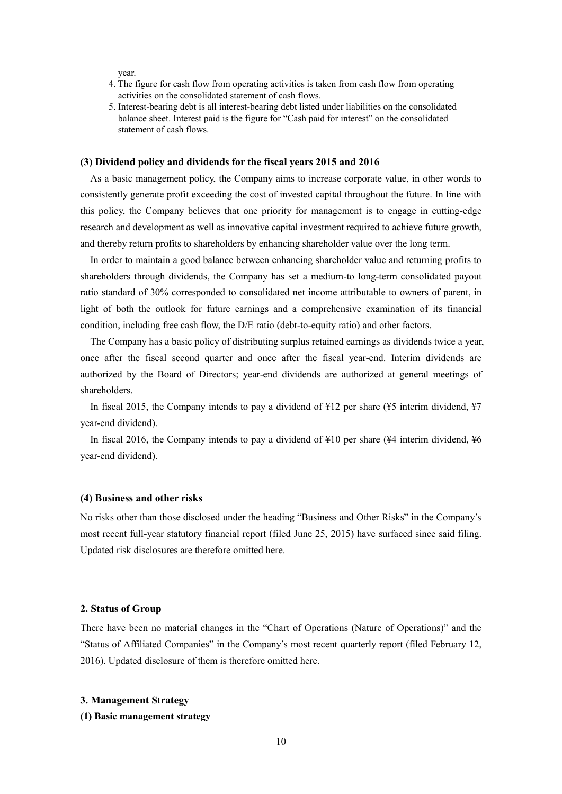year.

- 4. The figure for cash flow from operating activities is taken from cash flow from operating activities on the consolidated statement of cash flows.
- 5. Interest-bearing debt is all interest-bearing debt listed under liabilities on the consolidated balance sheet. Interest paid is the figure for "Cash paid for interest" on the consolidated statement of cash flows.

#### **(3) Dividend policy and dividends for the fiscal years 2015 and 2016**

As a basic management policy, the Company aims to increase corporate value, in other words to consistently generate profit exceeding the cost of invested capital throughout the future. In line with this policy, the Company believes that one priority for management is to engage in cutting-edge research and development as well as innovative capital investment required to achieve future growth, and thereby return profits to shareholders by enhancing shareholder value over the long term.

In order to maintain a good balance between enhancing shareholder value and returning profits to shareholders through dividends, the Company has set a medium-to long-term consolidated payout ratio standard of 30% corresponded to consolidated net income attributable to owners of parent, in light of both the outlook for future earnings and a comprehensive examination of its financial condition, including free cash flow, the D/E ratio (debt-to-equity ratio) and other factors.

The Company has a basic policy of distributing surplus retained earnings as dividends twice a year, once after the fiscal second quarter and once after the fiscal year-end. Interim dividends are authorized by the Board of Directors; year-end dividends are authorized at general meetings of shareholders.

In fiscal 2015, the Company intends to pay a dividend of ¥12 per share (¥5 interim dividend, ¥7 year-end dividend).

In fiscal 2016, the Company intends to pay a dividend of ¥10 per share (¥4 interim dividend, ¥6 year-end dividend).

#### **(4) Business and other risks**

No risks other than those disclosed under the heading "Business and Other Risks" in the Company's most recent full-year statutory financial report (filed June 25, 2015) have surfaced since said filing. Updated risk disclosures are therefore omitted here.

#### **2. Status of Group**

There have been no material changes in the "Chart of Operations (Nature of Operations)" and the "Status of Affiliated Companies" in the Company's most recent quarterly report (filed February 12, 2016). Updated disclosure of them is therefore omitted here.

#### **3. Management Strategy**

#### **(1) Basic management strategy**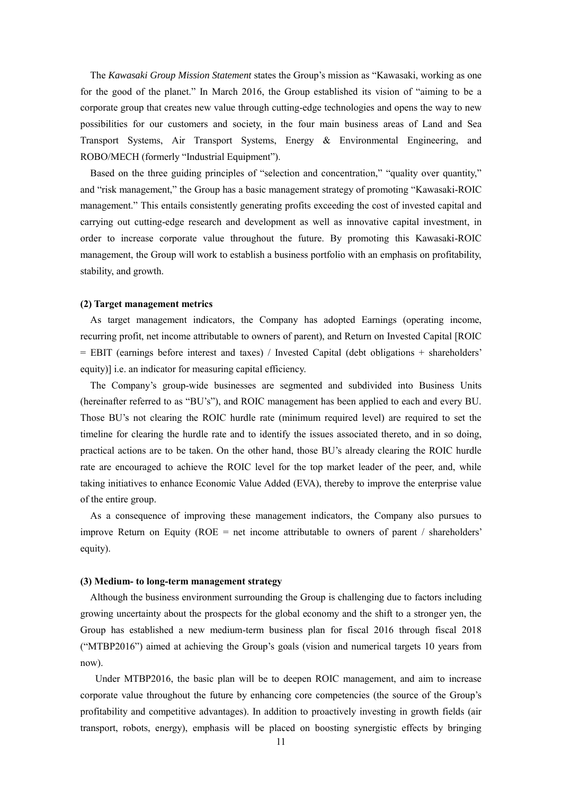The *Kawasaki Group Mission Statement* states the Group's mission as "Kawasaki, working as one for the good of the planet." In March 2016, the Group established its vision of "aiming to be a corporate group that creates new value through cutting-edge technologies and opens the way to new possibilities for our customers and society, in the four main business areas of Land and Sea Transport Systems, Air Transport Systems, Energy & Environmental Engineering, and ROBO/MECH (formerly "Industrial Equipment").

Based on the three guiding principles of "selection and concentration," "quality over quantity," and "risk management," the Group has a basic management strategy of promoting "Kawasaki-ROIC management." This entails consistently generating profits exceeding the cost of invested capital and carrying out cutting-edge research and development as well as innovative capital investment, in order to increase corporate value throughout the future. By promoting this Kawasaki-ROIC management, the Group will work to establish a business portfolio with an emphasis on profitability, stability, and growth.

#### **(2) Target management metrics**

As target management indicators, the Company has adopted Earnings (operating income, recurring profit, net income attributable to owners of parent), and Return on Invested Capital [ROIC = EBIT (earnings before interest and taxes) / Invested Capital (debt obligations + shareholders' equity)] i.e. an indicator for measuring capital efficiency.

The Company's group-wide businesses are segmented and subdivided into Business Units (hereinafter referred to as "BU's"), and ROIC management has been applied to each and every BU. Those BU's not clearing the ROIC hurdle rate (minimum required level) are required to set the timeline for clearing the hurdle rate and to identify the issues associated thereto, and in so doing, practical actions are to be taken. On the other hand, those BU's already clearing the ROIC hurdle rate are encouraged to achieve the ROIC level for the top market leader of the peer, and, while taking initiatives to enhance Economic Value Added (EVA), thereby to improve the enterprise value of the entire group.

As a consequence of improving these management indicators, the Company also pursues to improve Return on Equity (ROE = net income attributable to owners of parent / shareholders' equity).

#### **(3) Medium- to long-term management strategy**

Although the business environment surrounding the Group is challenging due to factors including growing uncertainty about the prospects for the global economy and the shift to a stronger yen, the Group has established a new medium-term business plan for fiscal 2016 through fiscal 2018 ("MTBP2016") aimed at achieving the Group's goals (vision and numerical targets 10 years from now).

Under MTBP2016, the basic plan will be to deepen ROIC management, and aim to increase corporate value throughout the future by enhancing core competencies (the source of the Group's profitability and competitive advantages). In addition to proactively investing in growth fields (air transport, robots, energy), emphasis will be placed on boosting synergistic effects by bringing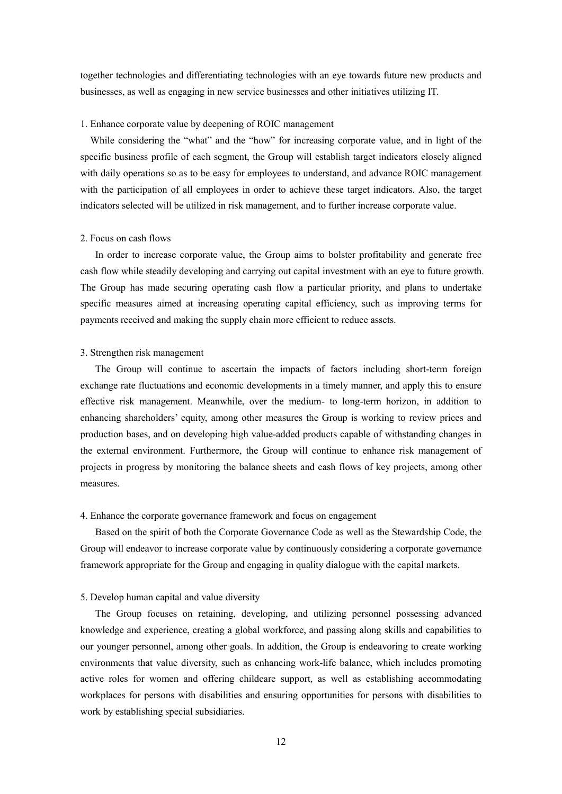together technologies and differentiating technologies with an eye towards future new products and businesses, as well as engaging in new service businesses and other initiatives utilizing IT.

#### 1. Enhance corporate value by deepening of ROIC management

While considering the "what" and the "how" for increasing corporate value, and in light of the specific business profile of each segment, the Group will establish target indicators closely aligned with daily operations so as to be easy for employees to understand, and advance ROIC management with the participation of all employees in order to achieve these target indicators. Also, the target indicators selected will be utilized in risk management, and to further increase corporate value.

#### 2. Focus on cash flows

In order to increase corporate value, the Group aims to bolster profitability and generate free cash flow while steadily developing and carrying out capital investment with an eye to future growth. The Group has made securing operating cash flow a particular priority, and plans to undertake specific measures aimed at increasing operating capital efficiency, such as improving terms for payments received and making the supply chain more efficient to reduce assets.

#### 3. Strengthen risk management

The Group will continue to ascertain the impacts of factors including short-term foreign exchange rate fluctuations and economic developments in a timely manner, and apply this to ensure effective risk management. Meanwhile, over the medium- to long-term horizon, in addition to enhancing shareholders' equity, among other measures the Group is working to review prices and production bases, and on developing high value-added products capable of withstanding changes in the external environment. Furthermore, the Group will continue to enhance risk management of projects in progress by monitoring the balance sheets and cash flows of key projects, among other measures.

#### 4. Enhance the corporate governance framework and focus on engagement

Based on the spirit of both the Corporate Governance Code as well as the Stewardship Code, the Group will endeavor to increase corporate value by continuously considering a corporate governance framework appropriate for the Group and engaging in quality dialogue with the capital markets.

#### 5. Develop human capital and value diversity

The Group focuses on retaining, developing, and utilizing personnel possessing advanced knowledge and experience, creating a global workforce, and passing along skills and capabilities to our younger personnel, among other goals. In addition, the Group is endeavoring to create working environments that value diversity, such as enhancing work-life balance, which includes promoting active roles for women and offering childcare support, as well as establishing accommodating workplaces for persons with disabilities and ensuring opportunities for persons with disabilities to work by establishing special subsidiaries.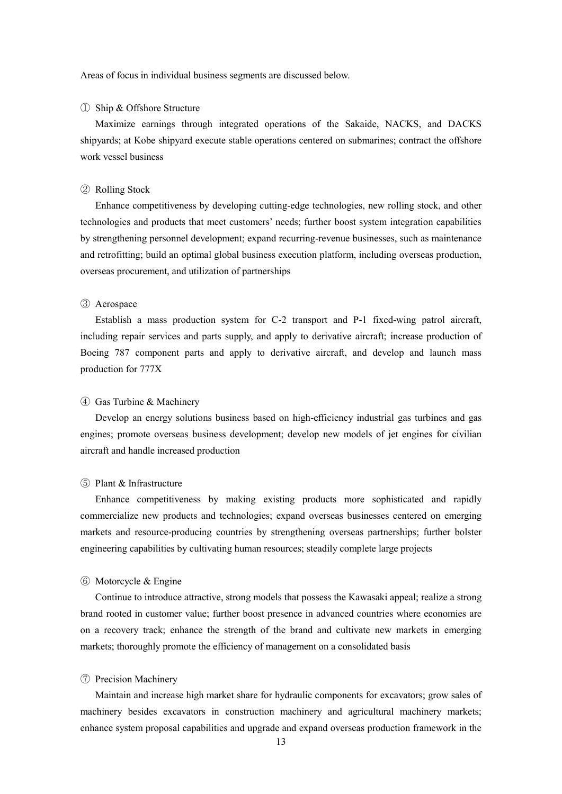Areas of focus in individual business segments are discussed below.

#### ① Ship & Offshore Structure

Maximize earnings through integrated operations of the Sakaide, NACKS, and DACKS shipyards; at Kobe shipyard execute stable operations centered on submarines; contract the offshore work vessel business

## ② Rolling Stock

Enhance competitiveness by developing cutting-edge technologies, new rolling stock, and other technologies and products that meet customers' needs; further boost system integration capabilities by strengthening personnel development; expand recurring-revenue businesses, such as maintenance and retrofitting; build an optimal global business execution platform, including overseas production, overseas procurement, and utilization of partnerships

### ③ Aerospace

Establish a mass production system for C-2 transport and P-1 fixed-wing patrol aircraft, including repair services and parts supply, and apply to derivative aircraft; increase production of Boeing 787 component parts and apply to derivative aircraft, and develop and launch mass production for 777X

#### ④ Gas Turbine & Machinery

Develop an energy solutions business based on high-efficiency industrial gas turbines and gas engines; promote overseas business development; develop new models of jet engines for civilian aircraft and handle increased production

# ⑤ Plant & Infrastructure

Enhance competitiveness by making existing products more sophisticated and rapidly commercialize new products and technologies; expand overseas businesses centered on emerging markets and resource-producing countries by strengthening overseas partnerships; further bolster engineering capabilities by cultivating human resources; steadily complete large projects

#### ⑥ Motorcycle & Engine

Continue to introduce attractive, strong models that possess the Kawasaki appeal; realize a strong brand rooted in customer value; further boost presence in advanced countries where economies are on a recovery track; enhance the strength of the brand and cultivate new markets in emerging markets; thoroughly promote the efficiency of management on a consolidated basis

#### ⑦ Precision Machinery

Maintain and increase high market share for hydraulic components for excavators; grow sales of machinery besides excavators in construction machinery and agricultural machinery markets; enhance system proposal capabilities and upgrade and expand overseas production framework in the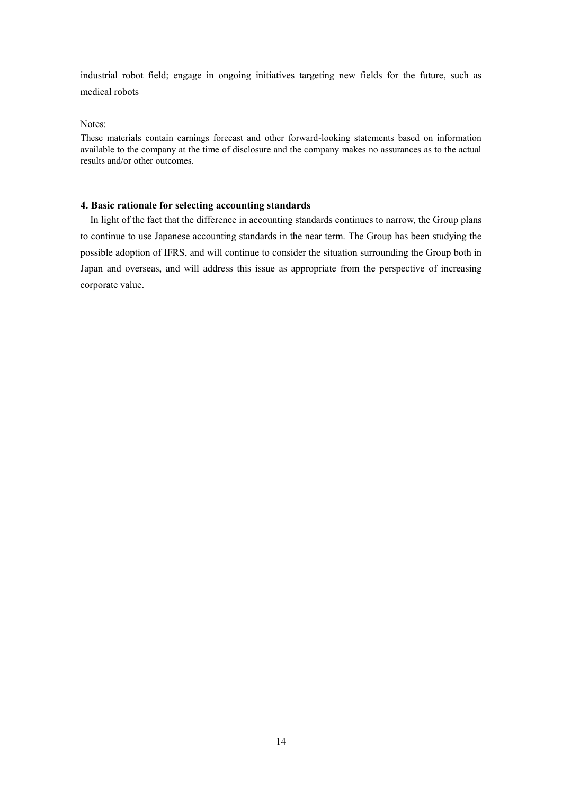industrial robot field; engage in ongoing initiatives targeting new fields for the future, such as medical robots

Notes:

These materials contain earnings forecast and other forward-looking statements based on information available to the company at the time of disclosure and the company makes no assurances as to the actual results and/or other outcomes.

# **4. Basic rationale for selecting accounting standards**

In light of the fact that the difference in accounting standards continues to narrow, the Group plans to continue to use Japanese accounting standards in the near term. The Group has been studying the possible adoption of IFRS, and will continue to consider the situation surrounding the Group both in Japan and overseas, and will address this issue as appropriate from the perspective of increasing corporate value.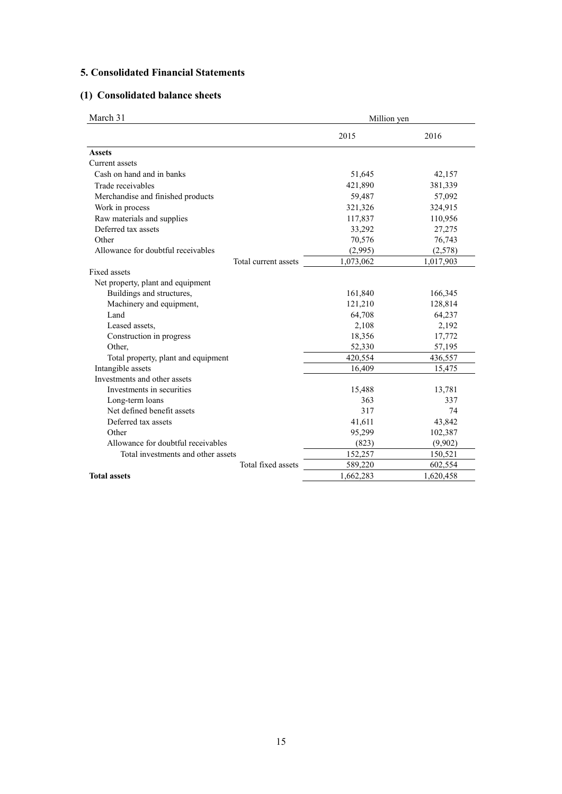# **5. Consolidated Financial Statements**

# **(1) Consolidated balance sheets**

| March 31                            | Million yen |           |
|-------------------------------------|-------------|-----------|
|                                     | 2015        | 2016      |
| <b>Assets</b>                       |             |           |
| Current assets                      |             |           |
| Cash on hand and in banks           | 51,645      | 42,157    |
| Trade receivables                   | 421,890     | 381,339   |
| Merchandise and finished products   | 59,487      | 57,092    |
| Work in process                     | 321,326     | 324,915   |
| Raw materials and supplies          | 117,837     | 110,956   |
| Deferred tax assets                 | 33,292      | 27,275    |
| Other                               | 70,576      | 76,743    |
| Allowance for doubtful receivables  | (2,995)     | (2,578)   |
| Total current assets                | 1,073,062   | 1,017,903 |
| Fixed assets                        |             |           |
| Net property, plant and equipment   |             |           |
| Buildings and structures,           | 161,840     | 166,345   |
| Machinery and equipment,            | 121,210     | 128,814   |
| Land                                | 64,708      | 64,237    |
| Leased assets,                      | 2,108       | 2,192     |
| Construction in progress            | 18,356      | 17,772    |
| Other,                              | 52,330      | 57,195    |
| Total property, plant and equipment | 420,554     | 436,557   |
| Intangible assets                   | 16,409      | 15,475    |
| Investments and other assets        |             |           |
| Investments in securities           | 15,488      | 13,781    |
| Long-term loans                     | 363         | 337       |
| Net defined benefit assets          | 317         | 74        |
| Deferred tax assets                 | 41,611      | 43,842    |
| Other                               | 95,299      | 102,387   |
| Allowance for doubtful receivables  | (823)       | (9,902)   |
| Total investments and other assets  | 152,257     | 150,521   |
| Total fixed assets                  | 589,220     | 602,554   |
| <b>Total assets</b>                 | 1,662,283   | 1,620,458 |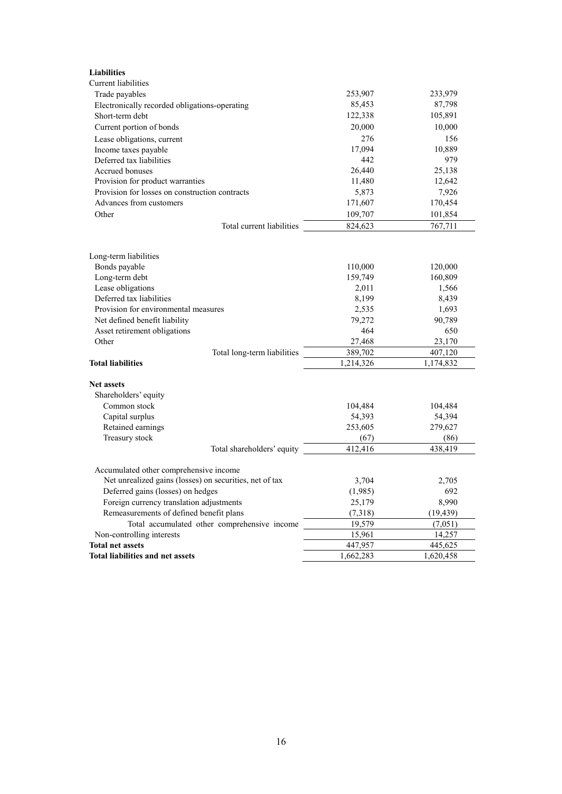| <b>Liabilities</b>                                      |                   |                   |
|---------------------------------------------------------|-------------------|-------------------|
| Current liabilities                                     |                   |                   |
| Trade payables                                          | 253,907           | 233,979           |
| Electronically recorded obligations-operating           | 85,453            | 87,798            |
| Short-term debt                                         | 122,338           | 105,891           |
| Current portion of bonds                                | 20,000            | 10,000            |
| Lease obligations, current                              | 276               | 156               |
| Income taxes payable                                    | 17,094            | 10,889            |
| Deferred tax liabilities                                | 442               | 979               |
| Accrued bonuses                                         | 26,440            | 25,138            |
| Provision for product warranties                        | 11,480            | 12,642            |
| Provision for losses on construction contracts          | 5,873             | 7,926             |
| Advances from customers                                 | 171,607           | 170,454           |
| Other                                                   | 109,707           | 101,854           |
| Total current liabilities                               | 824,623           | 767,711           |
|                                                         |                   |                   |
| Long-term liabilities                                   |                   |                   |
| Bonds payable                                           | 110,000           | 120,000           |
| Long-term debt                                          | 159,749           | 160,809           |
| Lease obligations                                       | 2,011             | 1,566             |
| Deferred tax liabilities                                | 8,199             | 8,439             |
| Provision for environmental measures                    | 2,535             | 1,693             |
| Net defined benefit liability                           | 79,272            | 90,789            |
| Asset retirement obligations                            | 464               | 650               |
| Other                                                   | 27,468            | 23,170            |
| Total long-term liabilities                             | 389,702           | 407,120           |
| <b>Total liabilities</b>                                | 1,214,326         | 1,174,832         |
|                                                         |                   |                   |
| <b>Net assets</b>                                       |                   |                   |
| Shareholders' equity<br>Common stock                    |                   |                   |
| Capital surplus                                         | 104,484<br>54,393 | 104,484<br>54,394 |
| Retained earnings                                       | 253,605           | 279,627           |
| Treasury stock                                          | (67)              | (86)              |
| Total shareholders' equity                              | 412,416           | 438,419           |
|                                                         |                   |                   |
| Accumulated other comprehensive income                  |                   |                   |
| Net unrealized gains (losses) on securities, net of tax | 3,704             | 2,705             |
| Deferred gains (losses) on hedges                       | (1,985)           | 692               |
| Foreign currency translation adjustments                | 25,179            | 8,990             |
| Remeasurements of defined benefit plans                 | (7,318)           | (19, 439)         |
| Total accumulated other comprehensive income            | 19,579            | (7,051)           |
| Non-controlling interests                               | 15,961            | 14,257            |
| <b>Total net assets</b>                                 | 447,957           | 445,625           |
| <b>Total liabilities and net assets</b>                 | 1,662,283         | 1,620,458         |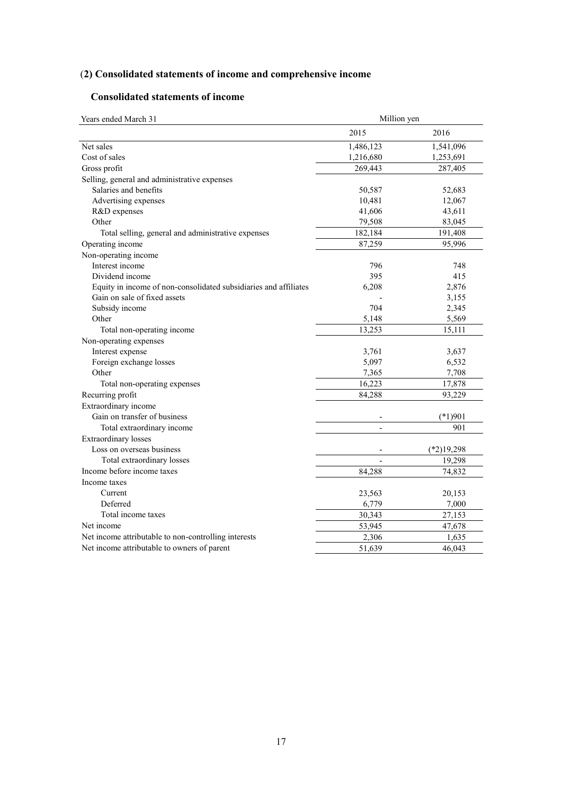# (**2) Consolidated statements of income and comprehensive income**

# **Consolidated statements of income**

| Million yen<br>Years ended March 31                              |                |              |
|------------------------------------------------------------------|----------------|--------------|
|                                                                  | 2015           | 2016         |
| Net sales                                                        | 1,486,123      | 1,541,096    |
| Cost of sales                                                    | 1,216,680      | 1,253,691    |
| Gross profit                                                     | 269,443        | 287,405      |
| Selling, general and administrative expenses                     |                |              |
| Salaries and benefits                                            | 50,587         | 52,683       |
| Advertising expenses                                             | 10,481         | 12,067       |
| R&D expenses                                                     | 41,606         | 43,611       |
| Other                                                            | 79,508         | 83,045       |
| Total selling, general and administrative expenses               | 182,184        | 191,408      |
| Operating income                                                 | 87,259         | 95,996       |
| Non-operating income                                             |                |              |
| Interest income                                                  | 796            | 748          |
| Dividend income                                                  | 395            | 415          |
| Equity in income of non-consolidated subsidiaries and affiliates | 6,208          | 2,876        |
| Gain on sale of fixed assets                                     |                | 3,155        |
| Subsidy income                                                   | 704            | 2,345        |
| Other                                                            | 5,148          | 5,569        |
| Total non-operating income                                       | 13,253         | 15,111       |
| Non-operating expenses                                           |                |              |
| Interest expense                                                 | 3,761          | 3,637        |
| Foreign exchange losses                                          | 5,097          | 6,532        |
| Other                                                            | 7,365          | 7,708        |
| Total non-operating expenses                                     | 16,223         | 17,878       |
| Recurring profit                                                 | 84,288         | 93,229       |
| Extraordinary income                                             |                |              |
| Gain on transfer of business                                     |                | $(*1)901$    |
| Total extraordinary income                                       | $\overline{a}$ | 901          |
| <b>Extraordinary losses</b>                                      |                |              |
| Loss on overseas business                                        |                | $(*2)19,298$ |
| Total extraordinary losses                                       |                | 19,298       |
| Income before income taxes                                       | 84.288         | 74,832       |
| Income taxes                                                     |                |              |
| Current                                                          | 23,563         | 20,153       |
| Deferred                                                         | 6,779          | 7,000        |
| Total income taxes                                               | 30,343         | 27,153       |
| Net income                                                       | 53,945         | 47,678       |
| Net income attributable to non-controlling interests             | 2,306          | 1,635        |
| Net income attributable to owners of parent                      | 51,639         | 46,043       |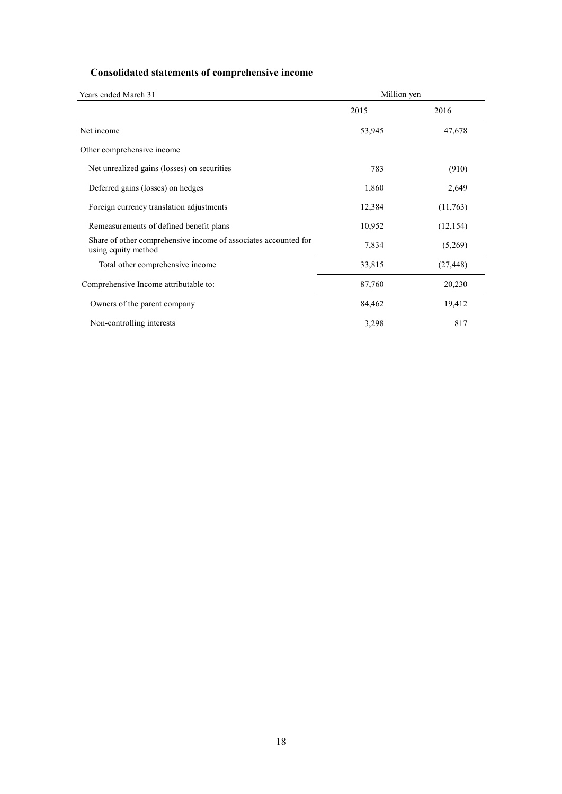# **Consolidated statements of comprehensive income**

| Years ended March 31                                                                   | Million yen |           |
|----------------------------------------------------------------------------------------|-------------|-----------|
|                                                                                        | 2015        | 2016      |
| Net income                                                                             | 53,945      | 47,678    |
| Other comprehensive income                                                             |             |           |
| Net unrealized gains (losses) on securities                                            | 783         | (910)     |
| Deferred gains (losses) on hedges                                                      | 1,860       | 2,649     |
| Foreign currency translation adjustments                                               | 12,384      | (11,763)  |
| Remeasurements of defined benefit plans                                                | 10,952      | (12, 154) |
| Share of other comprehensive income of associates accounted for<br>using equity method | 7,834       | (5,269)   |
| Total other comprehensive income                                                       | 33,815      | (27, 448) |
| Comprehensive Income attributable to:                                                  | 87,760      | 20,230    |
| Owners of the parent company                                                           | 84,462      | 19,412    |
| Non-controlling interests                                                              | 3,298       | 817       |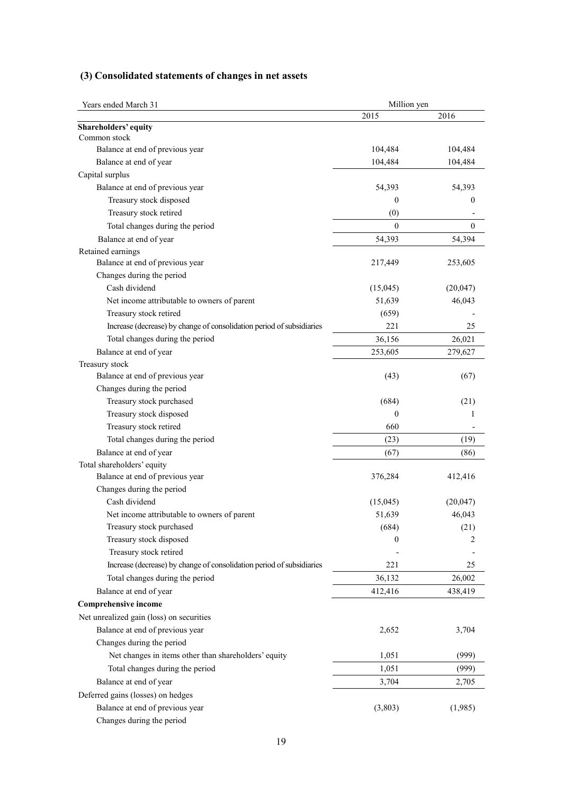|  | (3) Consolidated statements of changes in net assets |  |  |  |  |  |  |
|--|------------------------------------------------------|--|--|--|--|--|--|
|--|------------------------------------------------------|--|--|--|--|--|--|

| Million yen<br>Years ended March 31                                   |                  |                  |
|-----------------------------------------------------------------------|------------------|------------------|
|                                                                       | 2015             | 2016             |
| <b>Shareholders' equity</b>                                           |                  |                  |
| Common stock                                                          |                  |                  |
| Balance at end of previous year                                       | 104,484          | 104,484          |
| Balance at end of year                                                | 104,484          | 104,484          |
| Capital surplus                                                       |                  |                  |
| Balance at end of previous year                                       | 54,393           | 54,393           |
| Treasury stock disposed                                               | $\boldsymbol{0}$ | $\boldsymbol{0}$ |
| Treasury stock retired                                                | (0)              |                  |
| Total changes during the period                                       | $\mathbf{0}$     | $\theta$         |
| Balance at end of year                                                | 54,393           | 54,394           |
| Retained earnings                                                     |                  |                  |
| Balance at end of previous year                                       | 217,449          | 253,605          |
| Changes during the period                                             |                  |                  |
| Cash dividend                                                         | (15,045)         | (20,047)         |
| Net income attributable to owners of parent                           | 51,639           | 46,043           |
| Treasury stock retired                                                | (659)            |                  |
| Increase (decrease) by change of consolidation period of subsidiaries | 221              | 25               |
| Total changes during the period                                       | 36,156           | 26,021           |
| Balance at end of year                                                | 253,605          | 279,627          |
| Treasury stock                                                        |                  |                  |
| Balance at end of previous year                                       | (43)             | (67)             |
| Changes during the period                                             |                  |                  |
| Treasury stock purchased                                              | (684)            | (21)             |
| Treasury stock disposed                                               | $\boldsymbol{0}$ | 1                |
| Treasury stock retired                                                | 660              |                  |
| Total changes during the period                                       | (23)             | (19)             |
| Balance at end of year                                                | (67)             | (86)             |
| Total shareholders' equity                                            |                  |                  |
| Balance at end of previous year                                       | 376,284          | 412,416          |
| Changes during the period                                             |                  |                  |
| Cash dividend                                                         | (15,045)         | (20,047)         |
| Net income attributable to owners of parent                           | 51,639           | 46,043           |
| Treasury stock purchased                                              | (684)            | (21)             |
| Treasury stock disposed                                               | 0                | 2                |
| Treasury stock retired                                                |                  |                  |
| Increase (decrease) by change of consolidation period of subsidiaries | 221              | 25               |
| Total changes during the period                                       | 36,132           | 26,002           |
| Balance at end of year                                                | 412,416          | 438,419          |
| <b>Comprehensive income</b>                                           |                  |                  |
|                                                                       |                  |                  |
| Net unrealized gain (loss) on securities                              |                  |                  |
| Balance at end of previous year                                       | 2,652            | 3,704            |
| Changes during the period                                             |                  |                  |
| Net changes in items other than shareholders' equity                  | 1,051            | (999)            |
| Total changes during the period                                       | 1,051            | (999)            |
| Balance at end of year                                                | 3,704            | 2,705            |
| Deferred gains (losses) on hedges                                     |                  |                  |
| Balance at end of previous year                                       | (3,803)          | (1,985)          |
| Changes during the period                                             |                  |                  |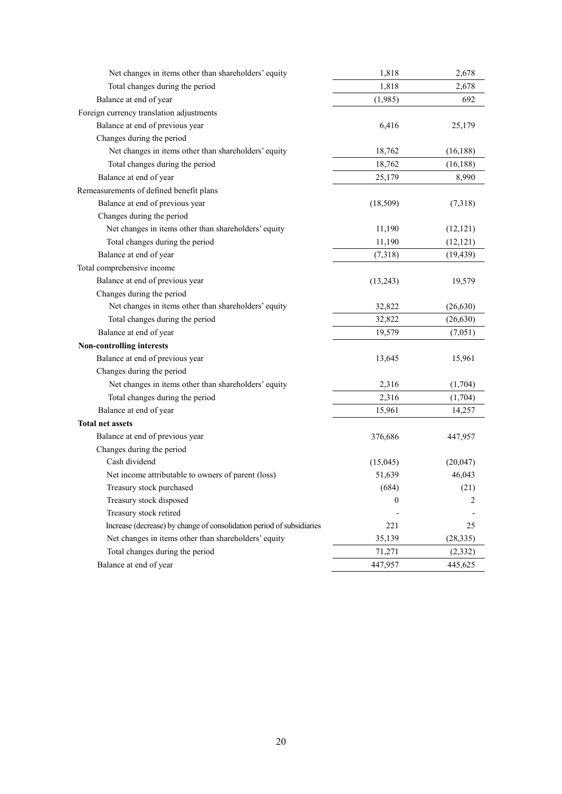| Net changes in items other than shareholders' equity                  | 1,818            | 2,678     |
|-----------------------------------------------------------------------|------------------|-----------|
| Total changes during the period                                       | 1,818            | 2,678     |
| Balance at end of year                                                | (1,985)          | 692       |
| Foreign currency translation adjustments                              |                  |           |
| Balance at end of previous year                                       | 6,416            | 25,179    |
| Changes during the period                                             |                  |           |
| Net changes in items other than shareholders' equity                  | 18,762           | (16, 188) |
| Total changes during the period                                       | 18,762           | (16, 188) |
| Balance at end of year                                                | 25,179           | 8,990     |
| Remeasurements of defined benefit plans                               |                  |           |
| Balance at end of previous year                                       | (18, 509)        | (7,318)   |
| Changes during the period                                             |                  |           |
| Net changes in items other than shareholders' equity                  | 11,190           | (12, 121) |
| Total changes during the period                                       | 11,190           | (12, 121) |
| Balance at end of year                                                | (7,318)          | (19, 439) |
| Total comprehensive income                                            |                  |           |
| Balance at end of previous year                                       | (13,243)         | 19,579    |
| Changes during the period                                             |                  |           |
| Net changes in items other than shareholders' equity                  | 32,822           | (26, 630) |
| Total changes during the period                                       | 32,822           | (26, 630) |
| Balance at end of year                                                | 19,579           | (7,051)   |
| <b>Non-controlling interests</b>                                      |                  |           |
| Balance at end of previous year                                       | 13,645           | 15,961    |
| Changes during the period                                             |                  |           |
| Net changes in items other than shareholders' equity                  | 2,316            | (1,704)   |
| Total changes during the period                                       | 2,316            | (1,704)   |
| Balance at end of year                                                | 15,961           | 14,257    |
| <b>Total net assets</b>                                               |                  |           |
| Balance at end of previous year                                       | 376,686          | 447,957   |
| Changes during the period                                             |                  |           |
| Cash dividend                                                         | (15,045)         | (20, 047) |
| Net income attributable to owners of parent (loss)                    | 51,639           | 46,043    |
| Treasury stock purchased                                              | (684)            | (21)      |
| Treasury stock disposed                                               | $\boldsymbol{0}$ | 2         |
| Treasury stock retired                                                |                  |           |
| Increase (decrease) by change of consolidation period of subsidiaries | 221              | 25        |
| Net changes in items other than shareholders' equity                  | 35,139           | (28, 335) |
| Total changes during the period                                       | 71,271           | (2, 332)  |
| Balance at end of year                                                | 447,957          | 445,625   |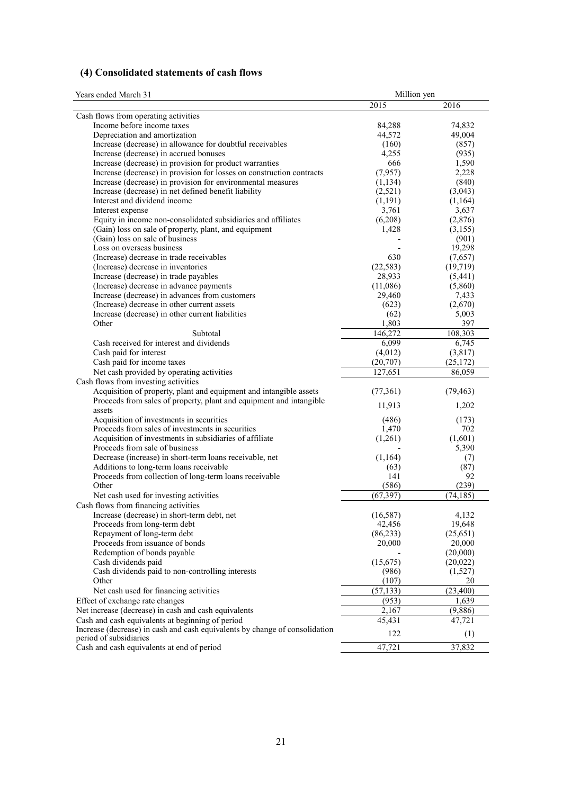# **(4) Consolidated statements of cash flows**

| Years ended March 31                                                                                       | Million yen      |           |
|------------------------------------------------------------------------------------------------------------|------------------|-----------|
|                                                                                                            | 2015             | 2016      |
| Cash flows from operating activities                                                                       |                  |           |
| Income before income taxes                                                                                 | 84,288           | 74,832    |
| Depreciation and amortization                                                                              | 44,572           | 49,004    |
| Increase (decrease) in allowance for doubtful receivables                                                  | (160)            | (857)     |
| Increase (decrease) in accrued bonuses                                                                     | 4,255            | (935)     |
| Increase (decrease) in provision for product warranties                                                    | 666              | 1,590     |
| Increase (decrease) in provision for losses on construction contracts                                      | (7,957)          | 2,228     |
| Increase (decrease) in provision for environmental measures                                                | (1, 134)         | (840)     |
| Increase (decrease) in net defined benefit liability                                                       | (2,521)          | (3,043)   |
| Interest and dividend income                                                                               | (1, 191)         | (1,164)   |
| Interest expense                                                                                           | 3,761            | 3,637     |
| Equity in income non-consolidated subsidiaries and affiliates                                              | (6,208)          | (2,876)   |
| (Gain) loss on sale of property, plant, and equipment                                                      | 1,428            | (3,155)   |
| (Gain) loss on sale of business                                                                            |                  | (901)     |
| Loss on overseas business                                                                                  |                  | 19,298    |
| (Increase) decrease in trade receivables                                                                   | 630              | (7,657)   |
| (Increase) decrease in inventories                                                                         | (22, 583)        | (19, 719) |
| Increase (decrease) in trade payables                                                                      | 28,933           | (5,441)   |
| (Increase) decrease in advance payments                                                                    | (11,086)         | (5,860)   |
| Increase (decrease) in advances from customers                                                             | 29,460           | 7,433     |
| (Increase) decrease in other current assets                                                                | (623)            | (2,670)   |
| Increase (decrease) in other current liabilities                                                           | (62)             | 5,003     |
| Other<br>Subtotal                                                                                          | 1,803<br>146.272 | 397       |
| Cash received for interest and dividends                                                                   |                  | 108,303   |
|                                                                                                            | 6,099            | 6,745     |
| Cash paid for interest                                                                                     | (4,012)          | (3,817)   |
| Cash paid for income taxes                                                                                 | (20,707)         | (25,172)  |
| Net cash provided by operating activities                                                                  | 127,651          | 86,059    |
| Cash flows from investing activities<br>Acquisition of property, plant and equipment and intangible assets | (77, 361)        | (79, 463) |
| Proceeds from sales of property, plant and equipment and intangible                                        |                  |           |
| assets                                                                                                     | 11,913           | 1,202     |
| Acquisition of investments in securities                                                                   | (486)            | (173)     |
| Proceeds from sales of investments in securities                                                           | 1,470            | 702       |
| Acquisition of investments in subsidiaries of affiliate                                                    | (1,261)          | (1,601)   |
| Proceeds from sale of business                                                                             |                  | 5,390     |
| Decrease (increase) in short-term loans receivable, net                                                    | (1,164)          | (7)       |
| Additions to long-term loans receivable                                                                    | (63)             | (87)      |
| Proceeds from collection of long-term loans receivable                                                     | 141              | 92        |
| Other                                                                                                      | (586)            | (239)     |
| Net cash used for investing activities                                                                     | (67, 397)        | (74, 185) |
| Cash flows from financing activities                                                                       |                  |           |
| Increase (decrease) in short-term debt, net                                                                | (16, 587)        | 4,132     |
| Proceeds from long-term debt                                                                               | 42,456           | 19,648    |
| Repayment of long-term debt                                                                                | (86, 233)        | (25,651)  |
| Proceeds from issuance of bonds                                                                            | 20,000           | 20,000    |
| Redemption of bonds payable                                                                                |                  | (20,000)  |
| Cash dividends paid                                                                                        | (15,675)         | (20,022)  |
| Cash dividends paid to non-controlling interests                                                           | (986)            | (1,527)   |
| Other                                                                                                      | (107)            | 20        |
| Net cash used for financing activities                                                                     | (57, 133)        | (23, 400) |
| Effect of exchange rate changes                                                                            | (953)            | 1,639     |
| Net increase (decrease) in cash and cash equivalents                                                       | 2,167            | (9,886)   |
| Cash and cash equivalents at beginning of period                                                           | 45,431           | 47,721    |
| Increase (decrease) in cash and cash equivalents by change of consolidation                                | 122              |           |
| period of subsidiaries                                                                                     |                  | (1)       |
| Cash and cash equivalents at end of period                                                                 | 47,721           | 37,832    |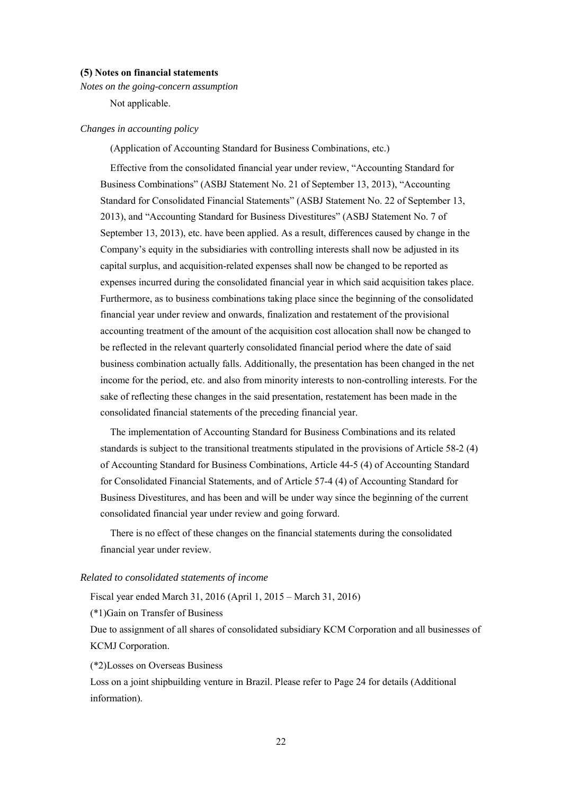#### **(5) Notes on financial statements**

*Notes on the going-concern assumption* 

Not applicable.

#### *Changes in accounting policy*

(Application of Accounting Standard for Business Combinations, etc.)

Effective from the consolidated financial year under review, "Accounting Standard for Business Combinations" (ASBJ Statement No. 21 of September 13, 2013), "Accounting Standard for Consolidated Financial Statements" (ASBJ Statement No. 22 of September 13, 2013), and "Accounting Standard for Business Divestitures" (ASBJ Statement No. 7 of September 13, 2013), etc. have been applied. As a result, differences caused by change in the Company's equity in the subsidiaries with controlling interests shall now be adjusted in its capital surplus, and acquisition-related expenses shall now be changed to be reported as expenses incurred during the consolidated financial year in which said acquisition takes place. Furthermore, as to business combinations taking place since the beginning of the consolidated financial year under review and onwards, finalization and restatement of the provisional accounting treatment of the amount of the acquisition cost allocation shall now be changed to be reflected in the relevant quarterly consolidated financial period where the date of said business combination actually falls. Additionally, the presentation has been changed in the net income for the period, etc. and also from minority interests to non-controlling interests. For the sake of reflecting these changes in the said presentation, restatement has been made in the consolidated financial statements of the preceding financial year.

The implementation of Accounting Standard for Business Combinations and its related standards is subject to the transitional treatments stipulated in the provisions of Article 58-2 (4) of Accounting Standard for Business Combinations, Article 44-5 (4) of Accounting Standard for Consolidated Financial Statements, and of Article 57-4 (4) of Accounting Standard for Business Divestitures, and has been and will be under way since the beginning of the current consolidated financial year under review and going forward.

There is no effect of these changes on the financial statements during the consolidated financial year under review.

#### *Related to consolidated statements of income*

Fiscal year ended March 31, 2016 (April 1, 2015 – March 31, 2016)

(\*1)Gain on Transfer of Business

 Due to assignment of all shares of consolidated subsidiary KCM Corporation and all businesses of KCMJ Corporation.

(\*2)Losses on Overseas Business

 Loss on a joint shipbuilding venture in Brazil. Please refer to Page 24 for details (Additional information).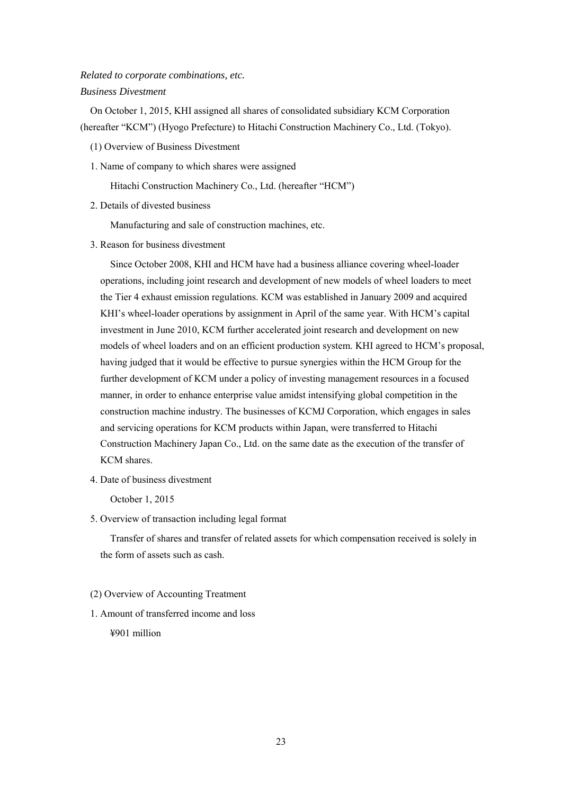# *Related to corporate combinations, etc. Business Divestment*

On October 1, 2015, KHI assigned all shares of consolidated subsidiary KCM Corporation (hereafter "KCM") (Hyogo Prefecture) to Hitachi Construction Machinery Co., Ltd. (Tokyo).

- (1) Overview of Business Divestment
- 1. Name of company to which shares were assigned

Hitachi Construction Machinery Co., Ltd. (hereafter "HCM")

2. Details of divested business

Manufacturing and sale of construction machines, etc.

3. Reason for business divestment

Since October 2008, KHI and HCM have had a business alliance covering wheel-loader operations, including joint research and development of new models of wheel loaders to meet the Tier 4 exhaust emission regulations. KCM was established in January 2009 and acquired KHI's wheel-loader operations by assignment in April of the same year. With HCM's capital investment in June 2010, KCM further accelerated joint research and development on new models of wheel loaders and on an efficient production system. KHI agreed to HCM's proposal, having judged that it would be effective to pursue synergies within the HCM Group for the further development of KCM under a policy of investing management resources in a focused manner, in order to enhance enterprise value amidst intensifying global competition in the construction machine industry. The businesses of KCMJ Corporation, which engages in sales and servicing operations for KCM products within Japan, were transferred to Hitachi Construction Machinery Japan Co., Ltd. on the same date as the execution of the transfer of KCM shares.

4. Date of business divestment

October 1, 2015

5. Overview of transaction including legal format

Transfer of shares and transfer of related assets for which compensation received is solely in the form of assets such as cash.

- (2) Overview of Accounting Treatment
- 1. Amount of transferred income and loss

¥901 million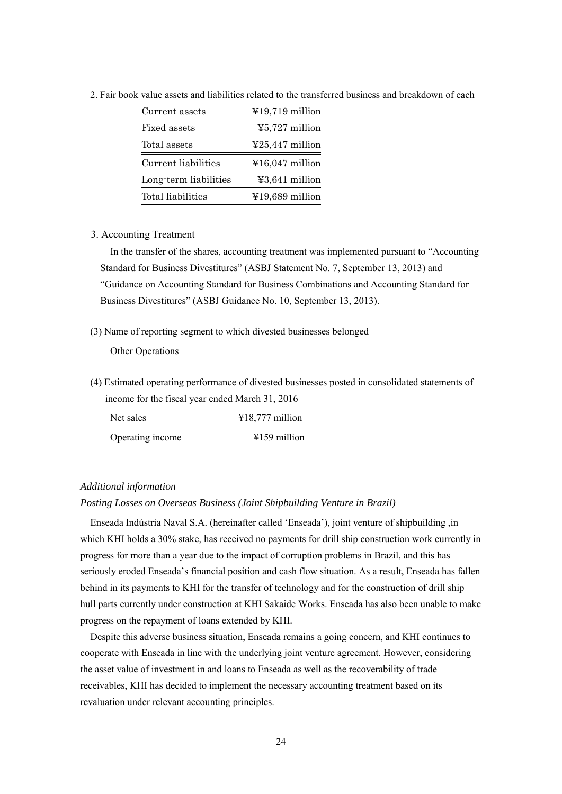| Current assets        | $\text{\textsterling}19,719$ million        |
|-----------------------|---------------------------------------------|
| Fixed assets          | $\text{\textless}5,727$ million             |
| Total assets          | $\textcolor{blue}{\textless}25,447$ million |
|                       |                                             |
| Current liabilities   | $\text{\textsterling}16,047$ million        |
| Long-term liabilities | $43,641$ million                            |

2. Fair book value assets and liabilities related to the transferred business and breakdown of each

#### 3. Accounting Treatment

In the transfer of the shares, accounting treatment was implemented pursuant to "Accounting Standard for Business Divestitures" (ASBJ Statement No. 7, September 13, 2013) and "Guidance on Accounting Standard for Business Combinations and Accounting Standard for Business Divestitures" (ASBJ Guidance No. 10, September 13, 2013).

(3) Name of reporting segment to which divested businesses belonged

Other Operations

(4) Estimated operating performance of divested businesses posted in consolidated statements of income for the fiscal year ended March 31, 2016

| Net sales        | $418,777$ million |
|------------------|-------------------|
| Operating income | $4159$ million    |

#### *Additional information*

#### *Posting Losses on Overseas Business (Joint Shipbuilding Venture in Brazil)*

Enseada Indústria Naval S.A. (hereinafter called 'Enseada'), joint venture of shipbuilding ,in which KHI holds a 30% stake, has received no payments for drill ship construction work currently in progress for more than a year due to the impact of corruption problems in Brazil, and this has seriously eroded Enseada's financial position and cash flow situation. As a result, Enseada has fallen behind in its payments to KHI for the transfer of technology and for the construction of drill ship hull parts currently under construction at KHI Sakaide Works. Enseada has also been unable to make progress on the repayment of loans extended by KHI.

 Despite this adverse business situation, Enseada remains a going concern, and KHI continues to cooperate with Enseada in line with the underlying joint venture agreement. However, considering the asset value of investment in and loans to Enseada as well as the recoverability of trade receivables, KHI has decided to implement the necessary accounting treatment based on its revaluation under relevant accounting principles.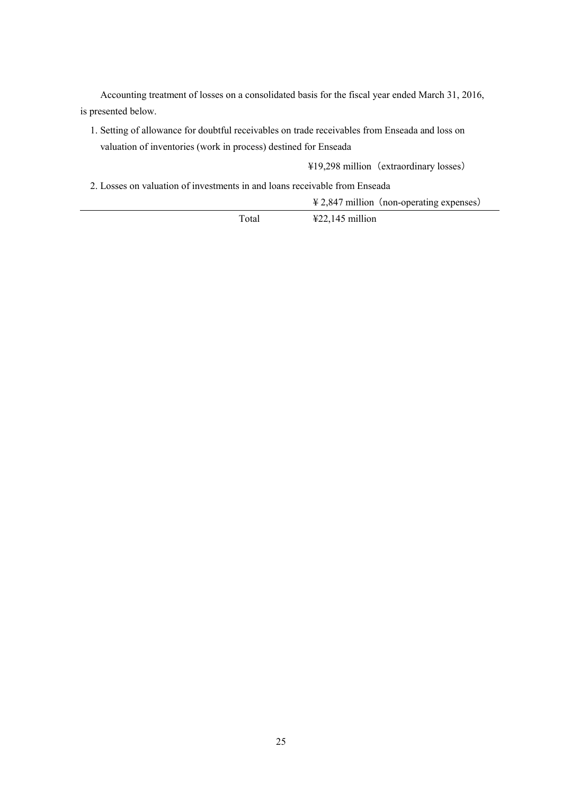Accounting treatment of losses on a consolidated basis for the fiscal year ended March 31, 2016, is presented below.

1. Setting of allowance for doubtful receivables on trade receivables from Enseada and loss on valuation of inventories (work in process) destined for Enseada

¥19,298 million(extraordinary losses)

2. Losses on valuation of investments in and loans receivable from Enseada

 $\frac{4}{2}$ ,847 million (non-operating expenses)

Total ¥22,145 million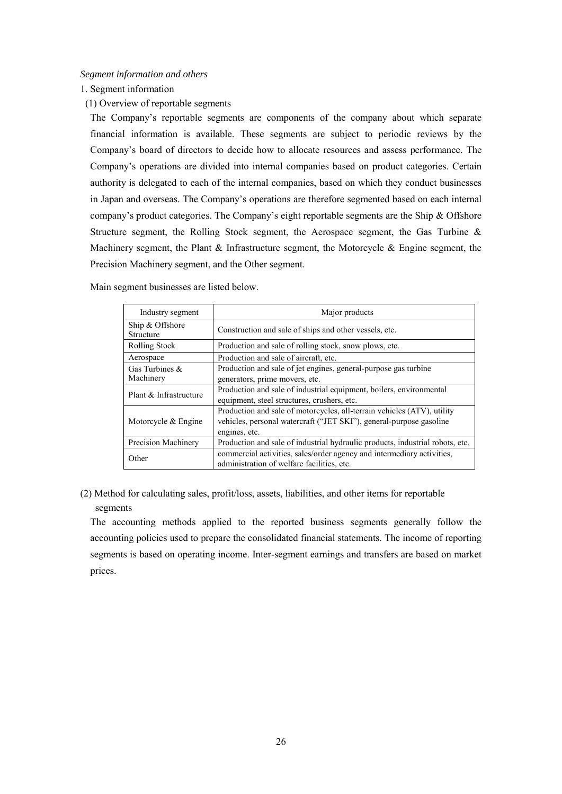#### *Segment information and others*

1. Segment information

(1) Overview of reportable segments

The Company's reportable segments are components of the company about which separate financial information is available. These segments are subject to periodic reviews by the Company's board of directors to decide how to allocate resources and assess performance. The Company's operations are divided into internal companies based on product categories. Certain authority is delegated to each of the internal companies, based on which they conduct businesses in Japan and overseas. The Company's operations are therefore segmented based on each internal company's product categories. The Company's eight reportable segments are the Ship & Offshore Structure segment, the Rolling Stock segment, the Aerospace segment, the Gas Turbine & Machinery segment, the Plant & Infrastructure segment, the Motorcycle & Engine segment, the Precision Machinery segment, and the Other segment.

| Industry segment               | Major products                                                                                                                                                  |
|--------------------------------|-----------------------------------------------------------------------------------------------------------------------------------------------------------------|
| Ship & Offshore<br>Structure   | Construction and sale of ships and other vessels, etc.                                                                                                          |
| Rolling Stock                  | Production and sale of rolling stock, snow plows, etc.                                                                                                          |
| Aerospace                      | Production and sale of aircraft, etc.                                                                                                                           |
| Gas Turbines $\&$<br>Machinery | Production and sale of jet engines, general-purpose gas turbine<br>generators, prime movers, etc.                                                               |
| Plant & Infrastructure         | Production and sale of industrial equipment, boilers, environmental<br>equipment, steel structures, crushers, etc.                                              |
| Motorcycle $&$ Engine          | Production and sale of motorcycles, all-terrain vehicles (ATV), utility<br>vehicles, personal watercraft ("JET SKI"), general-purpose gasoline<br>engines, etc. |
| Precision Machinery            | Production and sale of industrial hydraulic products, industrial robots, etc.                                                                                   |
| Other                          | commercial activities, sales/order agency and intermediary activities,<br>administration of welfare facilities, etc.                                            |

Main segment businesses are listed below.

(2) Method for calculating sales, profit/loss, assets, liabilities, and other items for reportable segments

The accounting methods applied to the reported business segments generally follow the accounting policies used to prepare the consolidated financial statements. The income of reporting segments is based on operating income. Inter-segment earnings and transfers are based on market prices.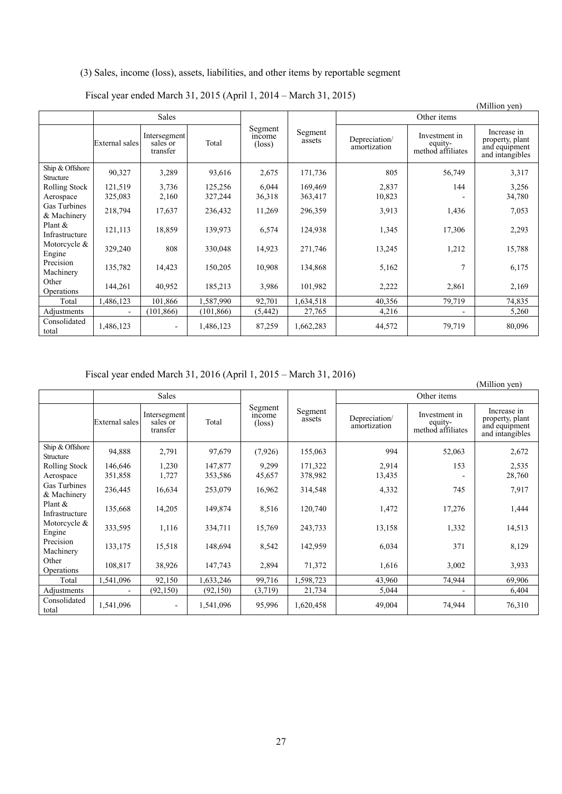# (3) Sales, income (loss), assets, liabilities, and other items by reportable segment

Fiscal year ended March 31, 2015 (April 1, 2014 – March 31, 2015)

|                              |                       |                                      |            |                                     |                   |                               |                                               | (Million yen)                                                      |  |  |
|------------------------------|-----------------------|--------------------------------------|------------|-------------------------------------|-------------------|-------------------------------|-----------------------------------------------|--------------------------------------------------------------------|--|--|
|                              |                       | <b>Sales</b>                         |            |                                     |                   |                               | Other items                                   |                                                                    |  |  |
|                              | <b>External</b> sales | Intersegment<br>sales or<br>transfer | Total      | Segment<br>mcome<br>$(\text{loss})$ | Segment<br>assets | Depreciation/<br>amortization | Investment in<br>equity-<br>method affiliates | Increase in<br>property, plant<br>and equipment<br>and intangibles |  |  |
| Ship & Offshore<br>Structure | 90,327                | 3,289                                | 93,616     | 2,675                               | 171,736           | 805                           | 56,749                                        | 3,317                                                              |  |  |
| Rolling Stock                | 121,519               | 3,736                                | 125,256    | 6,044                               | 169,469           | 2,837                         | 144                                           | 3,256                                                              |  |  |
| Aerospace                    | 325,083               | 2,160                                | 327,244    | 36,318                              | 363,417           | 10,823                        |                                               | 34,780                                                             |  |  |
| Gas Turbines<br>& Machinery  | 218,794               | 17,637                               | 236,432    | 11,269                              | 296,359           | 3,913                         | 1,436                                         | 7,053                                                              |  |  |
| Plant $\&$<br>Infrastructure | 121,113               | 18,859                               | 139,973    | 6,574                               | 124,938           | 1,345                         | 17,306                                        | 2,293                                                              |  |  |
| Motorcycle &<br>Engine       | 329,240               | 808                                  | 330,048    | 14,923                              | 271,746           | 13,245                        | 1,212                                         | 15,788                                                             |  |  |
| Precision<br>Machinery       | 135,782               | 14,423                               | 150,205    | 10,908                              | 134,868           | 5,162                         | 7                                             | 6,175                                                              |  |  |
| Other<br>Operations          | 144,261               | 40,952                               | 185,213    | 3,986                               | 101,982           | 2,222                         | 2,861                                         | 2,169                                                              |  |  |
| Total                        | 1,486,123             | 101,866                              | 1,587,990  | 92,701                              | 1,634,518         | 40,356                        | 79,719                                        | 74,835                                                             |  |  |
| Adjustments                  |                       | (101, 866)                           | (101, 866) | (5, 442)                            | 27,765            | 4,216                         |                                               | 5,260                                                              |  |  |
| Consolidated<br>total        | 1,486,123             |                                      | 1,486,123  | 87,259                              | 1,662,283         | 44,572                        | 79,719                                        | 80,096                                                             |  |  |

Fiscal year ended March 31, 2016 (April 1, 2015 – March 31, 2016)

|                                    | $\frac{1}{2}$<br>(Million yen) |                                      |                    |                                            |                    |                               |                                               |                                                                    |  |  |
|------------------------------------|--------------------------------|--------------------------------------|--------------------|--------------------------------------------|--------------------|-------------------------------|-----------------------------------------------|--------------------------------------------------------------------|--|--|
|                                    |                                | Sales                                |                    |                                            |                    | Other items                   |                                               |                                                                    |  |  |
|                                    | External sales                 | Intersegment<br>sales or<br>transfer | Total              | Segment<br><i>ncome</i><br>$(\text{loss})$ | Segment<br>assets  | Depreciation/<br>amortization | Investment in<br>equity-<br>method affiliates | Increase in<br>property, plant<br>and equipment<br>and intangibles |  |  |
| Ship & Offshore<br>Structure       | 94,888                         | 2,791                                | 97,679             | (7,926)                                    | 155,063            | 994                           | 52,063                                        | 2,672                                                              |  |  |
| Rolling Stock<br>Aerospace         | 146,646<br>351,858             | 1,230<br>1,727                       | 147,877<br>353,586 | 9,299<br>45,657                            | 171,322<br>378,982 | 2,914<br>13,435               | 153                                           | 2,535<br>28,760                                                    |  |  |
| <b>Gas Turbines</b><br>& Machinery | 236,445                        | 16,634                               | 253,079            | 16,962                                     | 314,548            | 4,332                         | 745                                           | 7,917                                                              |  |  |
| Plant $\&$<br>Infrastructure       | 135,668                        | 14,205                               | 149,874            | 8,516                                      | 120,740            | 1,472                         | 17,276                                        | 1,444                                                              |  |  |
| Motorcycle &<br>Engine             | 333,595                        | 1,116                                | 334,711            | 15,769                                     | 243,733            | 13,158                        | 1,332                                         | 14,513                                                             |  |  |
| Precision<br>Machinery             | 133,175                        | 15,518                               | 148,694            | 8,542                                      | 142,959            | 6,034                         | 371                                           | 8,129                                                              |  |  |
| Other<br>Operations                | 108,817                        | 38,926                               | 147,743            | 2,894                                      | 71,372             | 1,616                         | 3,002                                         | 3,933                                                              |  |  |
| Total                              | 1,541,096                      | 92,150                               | 1,633,246          | 99,716                                     | 1,598,723          | 43,960                        | 74,944                                        | 69,906                                                             |  |  |
| Adjustments                        |                                | (92, 150)                            | (92, 150)          | (3,719)                                    | 21,734             | 5,044                         |                                               | 6,404                                                              |  |  |
| Consolidated<br>total              | 1,541,096                      | $\overline{\phantom{a}}$             | 1,541,096          | 95,996                                     | 1,620,458          | 49,004                        | 74,944                                        | 76,310                                                             |  |  |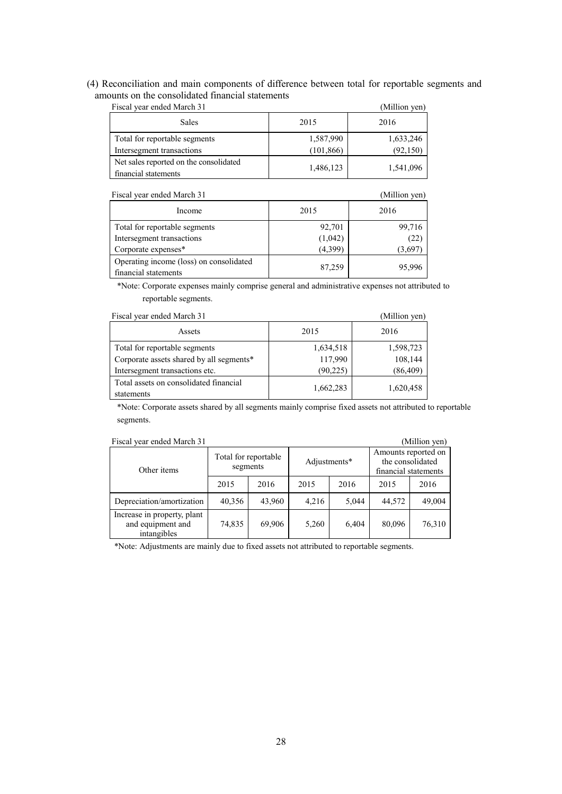# (4) Reconciliation and main components of difference between total for reportable segments and amounts on the consolidated financial statements

| Fiscal year ended March 31                                     |            | (Million yen) |
|----------------------------------------------------------------|------------|---------------|
| <b>Sales</b>                                                   | 2015       | 2016          |
| Total for reportable segments                                  | 1,587,990  | 1,633,246     |
| Intersegment transactions                                      | (101, 866) | (92, 150)     |
| Net sales reported on the consolidated<br>financial statements | 1,486,123  | 1,541,096     |

| Fiscal year ended March 31                                      | (Million yen) |        |  |
|-----------------------------------------------------------------|---------------|--------|--|
| Income                                                          | 2015          | 2016   |  |
| Total for reportable segments                                   | 92,701        | 99,716 |  |
| Intersegment transactions                                       | (1,042)       | (22)   |  |
| Corporate expenses*                                             | (4,399)       | (3.697 |  |
| Operating income (loss) on consolidated<br>financial statements | 87,259        | 95.996 |  |

\*Note: Corporate expenses mainly comprise general and administrative expenses not attributed to reportable segments.

| Fiscal year ended March 31                           | (Million yen) |           |  |  |
|------------------------------------------------------|---------------|-----------|--|--|
| Assets                                               | 2015          | 2016      |  |  |
| Total for reportable segments                        | 1,634,518     | 1,598,723 |  |  |
| Corporate assets shared by all segments*             | 117,990       | 108,144   |  |  |
| Intersegment transactions etc.                       | (90, 225)     | (86, 409) |  |  |
| Total assets on consolidated financial<br>statements | 1,662,283     | 1,620,458 |  |  |

\*Note: Corporate assets shared by all segments mainly comprise fixed assets not attributed to reportable segments.

|  | Fiscal year ended March 31 |  |
|--|----------------------------|--|
|  |                            |  |

| Fiscal year ended March 31                                      |                                  |        |              |       |                                                                 | (Million yen) |
|-----------------------------------------------------------------|----------------------------------|--------|--------------|-------|-----------------------------------------------------------------|---------------|
| Other items                                                     | Total for reportable<br>segments |        | Adjustments* |       | Amounts reported on<br>the consolidated<br>financial statements |               |
|                                                                 | 2015                             | 2016   | 2015         | 2016  | 2015                                                            | 2016          |
| Depreciation/amortization                                       | 40,356                           | 43,960 | 4.216        | 5.044 | 44,572                                                          | 49,004        |
| Increase in property, plant<br>and equipment and<br>intangibles | 74,835                           | 69,906 | 5,260        | 6.404 | 80,096                                                          | 76,310        |

\*Note: Adjustments are mainly due to fixed assets not attributed to reportable segments.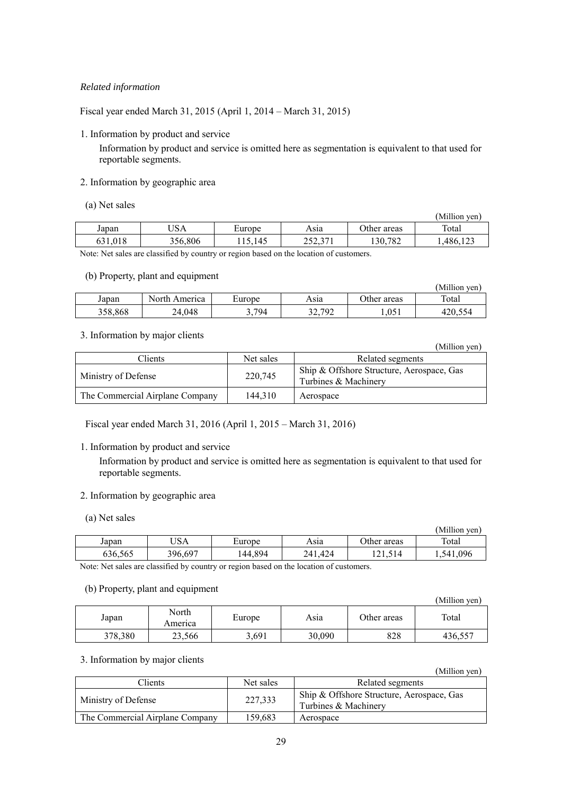# *Related information*

Fiscal year ended March 31, 2015 (April 1, 2014 – March 31, 2015)

1. Information by product and service

Information by product and service is omitted here as segmentation is equivalent to that used for reportable segments.

# 2. Information by geographic area

(a) Net sales

|             |         |        |                     |             | (Million ven) |
|-------------|---------|--------|---------------------|-------------|---------------|
| Japan       | USA     | Europe | Asıa                | Other areas | Total         |
| .018<br>631 | 356.806 | .145   | າເາ<br>27<br>232.JI | 130,782     | 1486,12       |

Note: Net sales are classified by country or region based on the location of customers.

# (b) Property, plant and equipment

| - -     |               |        |        |             | (Million ven) |
|---------|---------------|--------|--------|-------------|---------------|
| Japan   | North America | Europe | Asıa   | Other areas | Total         |
| 358.868 | 24.048        | 3,794  | 32,792 | 1.051       | 420.554       |

# 3. Information by major clients

|                                 |           | \!\!!!!!\\!!\\\!!!                                                |
|---------------------------------|-----------|-------------------------------------------------------------------|
| Clients                         | Net sales | Related segments                                                  |
| Ministry of Defense             | 220,745   | Ship & Offshore Structure, Aerospace, Gas<br>Turbines & Machinery |
| The Commercial Airplane Company | 144.310   | Aerospace                                                         |

Fiscal year ended March 31, 2016 (April 1, 2015 – March 31, 2016)

# 1. Information by product and service

Information by product and service is omitted here as segmentation is equivalent to that used for reportable segments.

# 2. Information by geographic area

(a) Net sales

|         |         |         |             |             | (Million ven)  |
|---------|---------|---------|-------------|-------------|----------------|
| Japan   | USA     | Europe  | Asıa        | Other areas | Total          |
| 636.565 | 396,697 | 144.894 | 241<br>.424 |             | 0.096<br>.541. |

Note: Net sales are classified by country or region based on the location of customers.

#### (b) Property, plant and equipment

|         |                  |        |        |             | (Million yen) |
|---------|------------------|--------|--------|-------------|---------------|
| Japan   | North<br>America | Europe | Asıa   | Other areas | Total         |
| 378,380 | 23.566           | 3,691  | 30,090 | 828         | 436,557       |

# 3. Information by major clients

|  | (Million yen) |
|--|---------------|
|  |               |

(Million yen)

| Clients                         | Net sales | Related segments                                                  |
|---------------------------------|-----------|-------------------------------------------------------------------|
| Ministry of Defense             | 227,333   | Ship & Offshore Structure, Aerospace, Gas<br>Turbines & Machinery |
| The Commercial Airplane Company | 159.683   | Aerospace                                                         |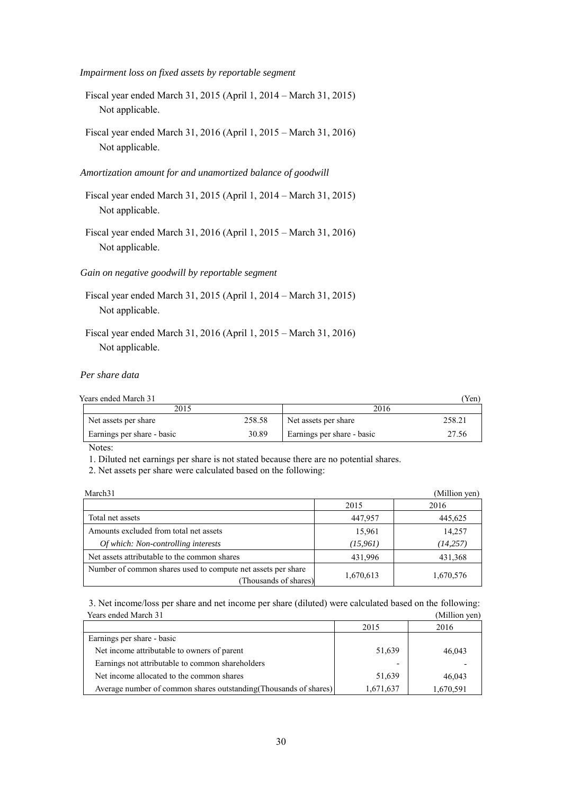*Impairment loss on fixed assets by reportable segment* 

- Fiscal year ended March 31, 2015 (April 1, 2014 March 31, 2015) Not applicable.
- Fiscal year ended March 31, 2016 (April 1, 2015 March 31, 2016) Not applicable.

#### *Amortization amount for and unamortized balance of goodwill*

- Fiscal year ended March 31, 2015 (April 1, 2014 March 31, 2015) Not applicable.
- Fiscal year ended March 31, 2016 (April 1, 2015 March 31, 2016) Not applicable.

#### *Gain on negative goodwill by reportable segment*

- Fiscal year ended March 31, 2015 (April 1, 2014 March 31, 2015) Not applicable.
- Fiscal year ended March 31, 2016 (April 1, 2015 March 31, 2016) Not applicable.

#### *Per share data*

Years ended March 31 (Yen)

| 2015                       |        | 2016                       |        |  |
|----------------------------|--------|----------------------------|--------|--|
| Net assets per share       | 258.58 | Net assets per share       | 258.21 |  |
| Earnings per share - basic | 30.89  | Earnings per share - basic | 27.56  |  |

Notes:

1. Diluted net earnings per share is not stated because there are no potential shares.

2. Net assets per share were calculated based on the following:

| March <sub>31</sub>                                                                   |           | (Million yen) |
|---------------------------------------------------------------------------------------|-----------|---------------|
|                                                                                       | 2015      | 2016          |
| Total net assets                                                                      | 447,957   | 445,625       |
| Amounts excluded from total net assets                                                | 15,961    | 14,257        |
| Of which: Non-controlling interests                                                   | (15, 961) | (14, 257)     |
| Net assets attributable to the common shares                                          | 431,996   | 431,368       |
| Number of common shares used to compute net assets per share<br>(Thousands of shares) | 1,670,613 | 1,670,576     |

3. Net income/loss per share and net income per share (diluted) were calculated based on the following: Years ended March 31 (Million yen)

|                                                                   | 2015      | 2016      |
|-------------------------------------------------------------------|-----------|-----------|
| Earnings per share - basic                                        |           |           |
| Net income attributable to owners of parent                       | 51,639    | 46,043    |
| Earnings not attributable to common shareholders                  |           |           |
| Net income allocated to the common shares                         | 51,639    | 46.043    |
| Average number of common shares outstanding (Thousands of shares) | 1,671,637 | 1,670,591 |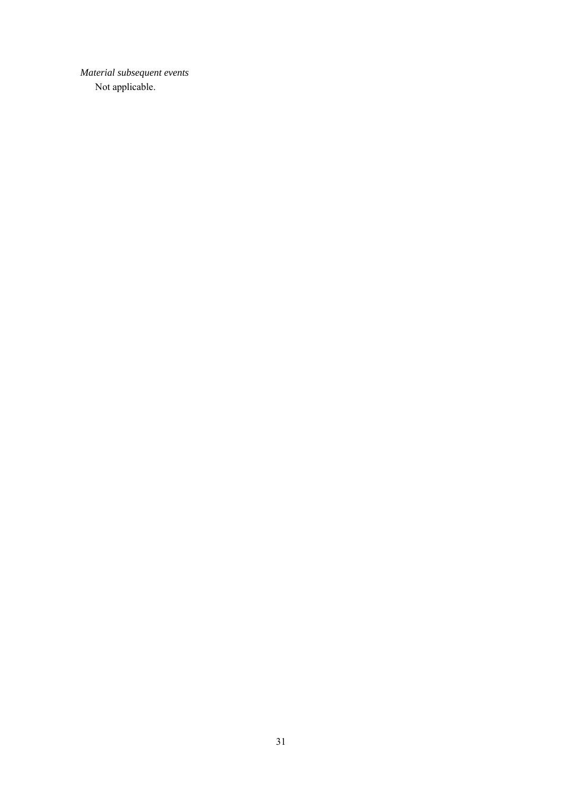*Material subsequent events*  Not applicable.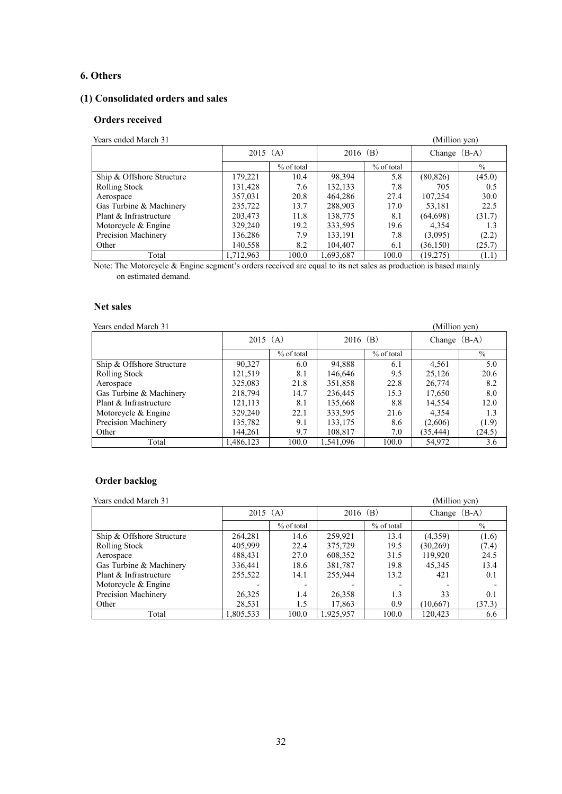# **6. Others**

# **(1) Consolidated orders and sales**

### **Orders received**

| Years ended March 31      |           |            |           |            | (Million yen) |                |
|---------------------------|-----------|------------|-----------|------------|---------------|----------------|
|                           |           | $2015$ (A) |           | $2016$ (B) |               | Change $(B-A)$ |
|                           |           | % of total |           | % of total |               | $\frac{0}{0}$  |
| Ship & Offshore Structure | 179,221   | 10.4       | 98,394    | 5.8        | (80, 826)     | (45.0)         |
| <b>Rolling Stock</b>      | 131,428   | 7.6        | 132,133   | 7.8        | 705           | 0.5            |
| Aerospace                 | 357,031   | 20.8       | 464,286   | 27.4       | 107,254       | 30.0           |
| Gas Turbine & Machinery   | 235,722   | 13.7       | 288,903   | 17.0       | 53,181        | 22.5           |
| Plant & Infrastructure    | 203,473   | 11.8       | 138,775   | 8.1        | (64, 698)     | (31.7)         |
| Motorcycle $&$ Engine     | 329,240   | 19.2       | 333,595   | 19.6       | 4,354         | 1.3            |
| Precision Machinery       | 136,286   | 7.9        | 133,191   | 7.8        | (3,095)       | (2.2)          |
| Other                     | 140,558   | 8.2        | 104,407   | 6.1        | (36, 150)     | (25.7)         |
| Total                     | 1,712,963 | 100.0      | 1,693,687 | 100.0      | (19,275)      | (1.1)          |

Note: The Motorcycle & Engine segment's orders received are equal to its net sales as production is based mainly on estimated demand.

# **Net sales**

Years ended March 31 (Million yen) (Million yen)

|                           | $2015$ (A) |            | $2016$ (B) |            | Change $(B-A)$ |               |
|---------------------------|------------|------------|------------|------------|----------------|---------------|
|                           |            | % of total |            | % of total |                | $\frac{0}{0}$ |
| Ship & Offshore Structure | 90,327     | 6.0        | 94,888     | 6.1        | 4,561          | 5.0           |
| Rolling Stock             | 121,519    | 8.1        | 146,646    | 9.5        | 25,126         | 20.6          |
| Aerospace                 | 325,083    | 21.8       | 351,858    | 22.8       | 26,774         | 8.2           |
| Gas Turbine & Machinery   | 218,794    | 14.7       | 236,445    | 15.3       | 17,650         | 8.0           |
| Plant & Infrastructure    | 121,113    | 8.1        | 135,668    | 8.8        | 14,554         | 12.0          |
| Motorcycle $&$ Engine     | 329,240    | 22.1       | 333,595    | 21.6       | 4.354          | 1.3           |
| Precision Machinery       | 135,782    | 9.1        | 133,175    | 8.6        | (2,606)        | (1.9)         |
| Other                     | 144,261    | 9.7        | 108,817    | 7.0        | (35, 444)      | (24.5)        |
| Total                     | 1,486,123  | 100.0      | 1.541.096  | 100.0      | 54,972         | 3.6           |

# **Order backlog**

| Years ended March 31      |           |                          |           |              | (Million yen) |                |
|---------------------------|-----------|--------------------------|-----------|--------------|---------------|----------------|
|                           |           | $2015$ (A)               |           | $2016$ (B)   |               | Change $(B-A)$ |
|                           |           | % of total               |           | $%$ of total |               | $\frac{0}{0}$  |
| Ship & Offshore Structure | 264,281   | 14.6                     | 259,921   | 13.4         | (4,359)       | (1.6)          |
| <b>Rolling Stock</b>      | 405.999   | 22.4                     | 375,729   | 19.5         | (30, 269)     | (7.4)          |
| Aerospace                 | 488,431   | 27.0                     | 608,352   | 31.5         | 119,920       | 24.5           |
| Gas Turbine & Machinery   | 336,441   | 18.6                     | 381,787   | 19.8         | 45.345        | 13.4           |
| Plant & Infrastructure    | 255,522   | 14.1                     | 255,944   | 13.2         | 421           | 0.1            |
| Motorcycle $&$ Engine     |           | $\overline{\phantom{0}}$ |           |              |               |                |
| Precision Machinery       | 26,325    | 1.4                      | 26,358    | 1.3          | 33            | 0.1            |
| Other                     | 28,531    | 1.5                      | 17,863    | 0.9          | (10,667)      | (37.3)         |
| Total                     | 1,805,533 | 100.0                    | 1,925,957 | 100.0        | 120.423       | 6.6            |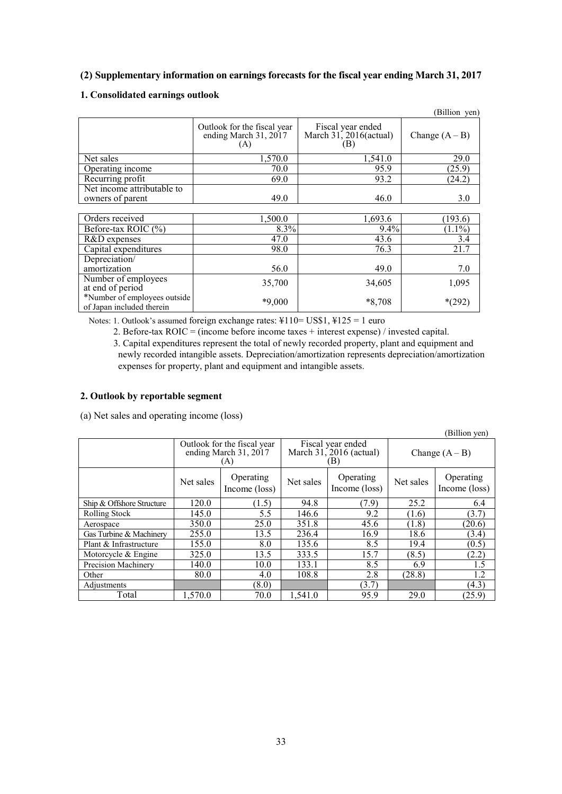# **(2) Supplementary information on earnings forecasts for the fiscal year ending March 31, 2017**

# **1. Consolidated earnings outlook**

|                              |                                                             |                                                    | (Billion yen)    |
|------------------------------|-------------------------------------------------------------|----------------------------------------------------|------------------|
|                              | Outlook for the fiscal year<br>ending March 31, 2017<br>(A) | Fiscal year ended<br>March 31, 2016(actual)<br>(B) | Change $(A - B)$ |
| Net sales                    | 1,570.0                                                     | 1,541.0                                            | 29.0             |
| Operating income             | 70.0                                                        | 95.9                                               | (25.9)           |
| Recurring profit             | 69.0                                                        | 93.2                                               | (24.2)           |
| Net income attributable to   |                                                             |                                                    |                  |
| owners of parent             | 49.0                                                        | 46.0                                               | 3.0              |
|                              |                                                             |                                                    |                  |
| Orders received              | 1,500.0                                                     | 1,693.6                                            | (193.6)          |
| Before-tax ROIC $(\%)$       | 8.3%                                                        | $9.4\%$                                            | $(1.1\%)$        |
| R&D expenses                 | 47.0                                                        | 43.6                                               | 3.4              |
| Capital expenditures         | 98.0                                                        | 76.3                                               | 21.7             |
| Depreciation/                |                                                             |                                                    |                  |
| amortization                 | 56.0                                                        | 49.0                                               | 7.0              |
| Number of employees          | 35,700                                                      | 34,605                                             | 1,095            |
| at end of period             |                                                             |                                                    |                  |
| *Number of employees outside | $*9,000$                                                    | $*8,708$                                           | $*(292)$         |
| of Japan included therein    |                                                             |                                                    |                  |

Notes: 1. Outlook's assumed foreign exchange rates: ¥110= US\$1, ¥125 = 1 euro

2. Before-tax ROIC = (income before income taxes + interest expense) / invested capital.

3. Capital expenditures represent the total of newly recorded property, plant and equipment and newly recorded intangible assets. Depreciation/amortization represents depreciation/amortization expenses for property, plant and equipment and intangible assets.

# **2. Outlook by reportable segment**

(a) Net sales and operating income (loss)

(Billion yen)

|                            | Outlook for the fiscal year<br>ending March 31, 2017<br>(A) |                            |           | Fiscal year ended<br>March $31, 2016$ (actual)<br>(B) | Change $(A - B)$ |                            |
|----------------------------|-------------------------------------------------------------|----------------------------|-----------|-------------------------------------------------------|------------------|----------------------------|
|                            | Net sales                                                   | Operating<br>Income (loss) | Net sales | Operating<br>Income (loss)                            | Net sales        | Operating<br>Income (loss) |
| Ship & Offshore Structure  | 120.0                                                       | (1.5)                      | 94.8      | (7.9)                                                 | 25.2             | 6.4                        |
| Rolling Stock              | 145.0                                                       | 5.5                        | 146.6     | 9.2                                                   | (1.6)            | (3.7)                      |
| Aerospace                  | 350.0                                                       | 25.0                       | 351.8     | 45.6                                                  | (1.8)            | (20.6)                     |
| Gas Turbine & Machinery    | 255.0                                                       | 13.5                       | 236.4     | 16.9                                                  | 18.6             | (3.4)                      |
| Plant & Infrastructure     | 155.0                                                       | 8.0                        | 135.6     | 8.5                                                   | 19.4             | (0.5)                      |
| Motorcycle & Engine        | 325.0                                                       | 13.5                       | 333.5     | 15.7                                                  | (8.5)            | (2.2)                      |
| <b>Precision Machinery</b> | 140.0                                                       | 10.0                       | 133.1     | 8.5                                                   | 6.9              | 1.5                        |
| Other                      | 80.0                                                        | 4.0                        | 108.8     | 2.8                                                   | (28.8)           | 1.2                        |
| Adjustments                |                                                             | (8.0)                      |           | (3.7)                                                 |                  | (4.3)                      |
| Total                      | 1.570.0                                                     | 70.0                       | 1.541.0   | 95.9                                                  | 29.0             | (25.9)                     |